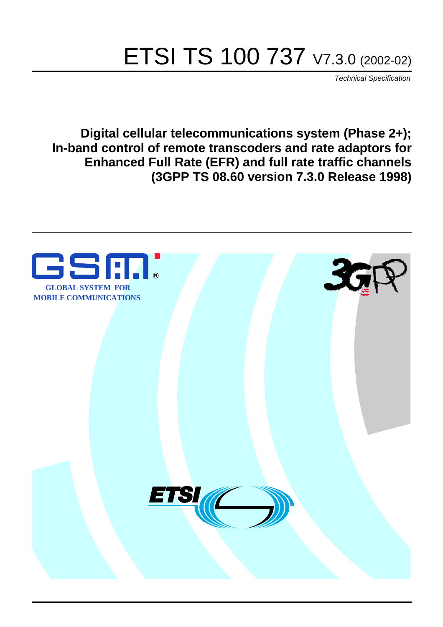# ETSI TS 100 737 V7.3.0 (2002-02)

Technical Specification

**Digital cellular telecommunications system (Phase 2+); In-band control of remote transcoders and rate adaptors for Enhanced Full Rate (EFR) and full rate traffic channels (3GPP TS 08.60 version 7.3.0 Release 1998)**

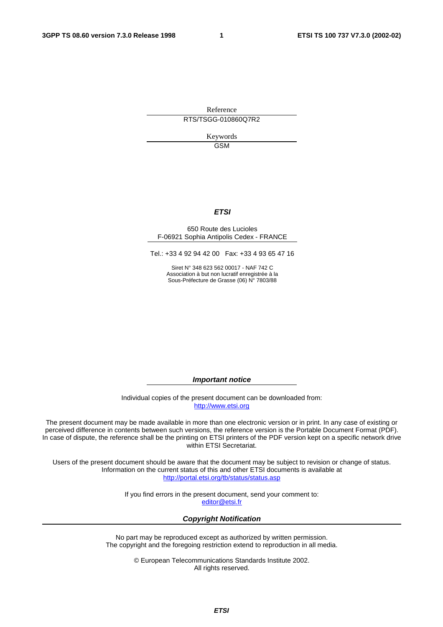Reference RTS/TSGG-010860Q7R2

> Keywords GSM

### **ETSI**

#### 650 Route des Lucioles F-06921 Sophia Antipolis Cedex - FRANCE

Tel.: +33 4 92 94 42 00 Fax: +33 4 93 65 47 16

Siret N° 348 623 562 00017 - NAF 742 C Association à but non lucratif enregistrée à la Sous-Préfecture de Grasse (06) N° 7803/88

**Important notice** 

Individual copies of the present document can be downloaded from: [http://www.etsi.org](http://www.etsi.org/)

The present document may be made available in more than one electronic version or in print. In any case of existing or perceived difference in contents between such versions, the reference version is the Portable Document Format (PDF). In case of dispute, the reference shall be the printing on ETSI printers of the PDF version kept on a specific network drive within ETSI Secretariat.

Users of the present document should be aware that the document may be subject to revision or change of status. Information on the current status of this and other ETSI documents is available at <http://portal.etsi.org/tb/status/status.asp>

> If you find errors in the present document, send your comment to: [editor@etsi.fr](mailto:editor@etsi.fr)

#### **Copyright Notification**

No part may be reproduced except as authorized by written permission. The copyright and the foregoing restriction extend to reproduction in all media.

> © European Telecommunications Standards Institute 2002. All rights reserved.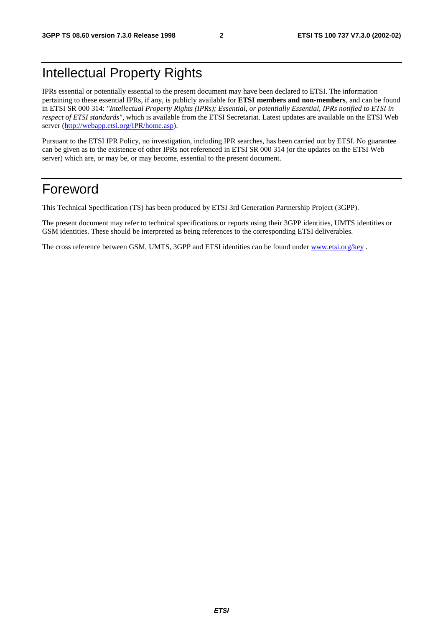# Intellectual Property Rights

IPRs essential or potentially essential to the present document may have been declared to ETSI. The information pertaining to these essential IPRs, if any, is publicly available for **ETSI members and non-members**, and can be found in ETSI SR 000 314: *"Intellectual Property Rights (IPRs); Essential, or potentially Essential, IPRs notified to ETSI in respect of ETSI standards"*, which is available from the ETSI Secretariat. Latest updates are available on the ETSI Web server ([http://webapp.etsi.org/IPR/home.asp\)](http://webapp.etsi.org/IPR/home.asp).

Pursuant to the ETSI IPR Policy, no investigation, including IPR searches, has been carried out by ETSI. No guarantee can be given as to the existence of other IPRs not referenced in ETSI SR 000 314 (or the updates on the ETSI Web server) which are, or may be, or may become, essential to the present document.

# Foreword

This Technical Specification (TS) has been produced by ETSI 3rd Generation Partnership Project (3GPP).

The present document may refer to technical specifications or reports using their 3GPP identities, UMTS identities or GSM identities. These should be interpreted as being references to the corresponding ETSI deliverables.

The cross reference between GSM, UMTS, 3GPP and ETSI identities can be found under [www.etsi.org/key](http://www.etsi.org/key) .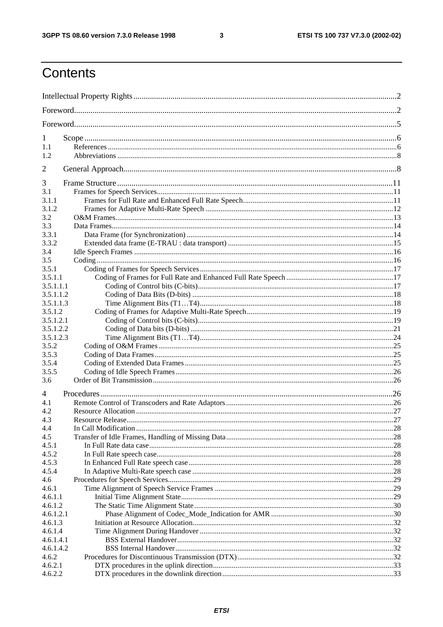$\mathbf{3}$ 

# Contents

| 1                      |  |
|------------------------|--|
| 1.1                    |  |
| 1.2                    |  |
| $\overline{2}$         |  |
| 3                      |  |
| 3.1                    |  |
| 3.1.1                  |  |
| 3.1.2                  |  |
| 3.2                    |  |
| 3.3                    |  |
| 3.3.1                  |  |
| 3.3.2                  |  |
|                        |  |
| 3.4<br>3.5             |  |
|                        |  |
| 3.5.1                  |  |
| 3.5.1.1                |  |
| 3.5.1.1.1<br>3.5.1.1.2 |  |
| 3.5.1.1.3              |  |
| 3.5.1.2                |  |
| 3.5.1.2.1              |  |
| 3.5.1.2.2              |  |
| 3.5.1.2.3              |  |
| 3.5.2                  |  |
| 3.5.3                  |  |
| 3.5.4                  |  |
| 3.5.5                  |  |
| 3.6                    |  |
| 4                      |  |
| 4.1                    |  |
| 4.2                    |  |
| 4.3                    |  |
| 4.4                    |  |
| 4.5                    |  |
| 4.5.1                  |  |
| 4.5.2                  |  |
| 4.5.3                  |  |
| 4.5.4                  |  |
| 4.6                    |  |
| 4.6.1                  |  |
| 4.6.1.1                |  |
| 4.6.1.2                |  |
| 4.6.1.2.1              |  |
| 4.6.1.3                |  |
| 4.6.1.4                |  |
| 4.6.1.4.1              |  |
| 4.6.1.4.2              |  |
| 4.6.2                  |  |
| 4.6.2.1                |  |
| 4.6.2.2                |  |
|                        |  |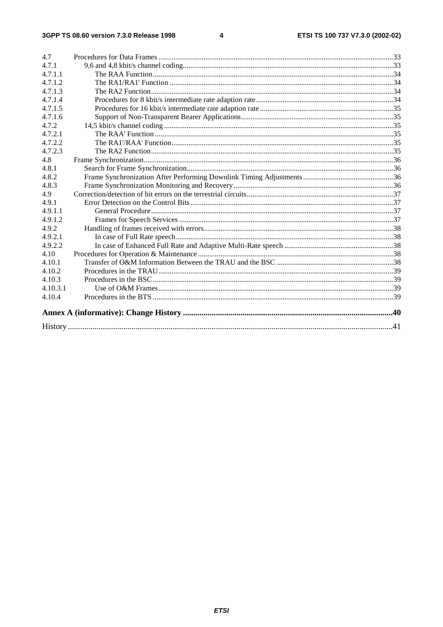#### $\overline{\mathbf{4}}$

| 4.7      |  |
|----------|--|
| 4.7.1    |  |
| 4.7.1.1  |  |
| 4.7.1.2  |  |
| 4.7.1.3  |  |
| 4.7.1.4  |  |
| 4.7.1.5  |  |
| 4.7.1.6  |  |
| 4.7.2    |  |
| 4.7.2.1  |  |
| 4.7.2.2  |  |
| 4.7.2.3  |  |
| 4.8      |  |
| 4.8.1    |  |
| 4.8.2    |  |
| 4.8.3    |  |
| 4.9      |  |
| 4.9.1    |  |
| 4.9.1.1  |  |
| 4.9.1.2  |  |
| 4.9.2    |  |
| 4.9.2.1  |  |
| 4.9.2.2  |  |
| 4.10     |  |
| 4.10.1   |  |
| 4.10.2   |  |
| 4.10.3   |  |
| 4.10.3.1 |  |
| 4.10.4   |  |
|          |  |
|          |  |
|          |  |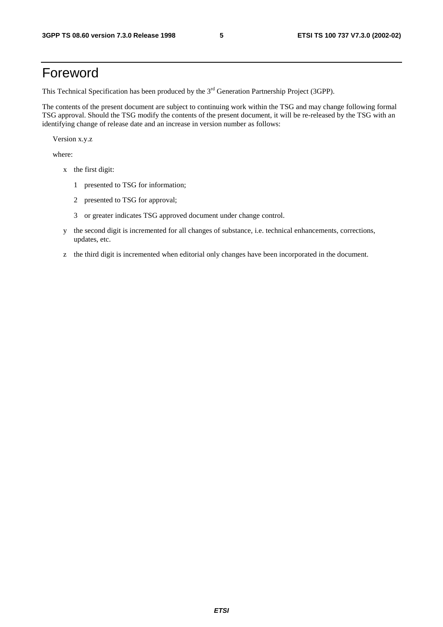# Foreword

This Technical Specification has been produced by the 3<sup>rd</sup> Generation Partnership Project (3GPP).

The contents of the present document are subject to continuing work within the TSG and may change following formal TSG approval. Should the TSG modify the contents of the present document, it will be re-released by the TSG with an identifying change of release date and an increase in version number as follows:

Version x.y.z

where:

- x the first digit:
	- 1 presented to TSG for information;
	- 2 presented to TSG for approval;
	- 3 or greater indicates TSG approved document under change control.
- y the second digit is incremented for all changes of substance, i.e. technical enhancements, corrections, updates, etc.
- z the third digit is incremented when editorial only changes have been incorporated in the document.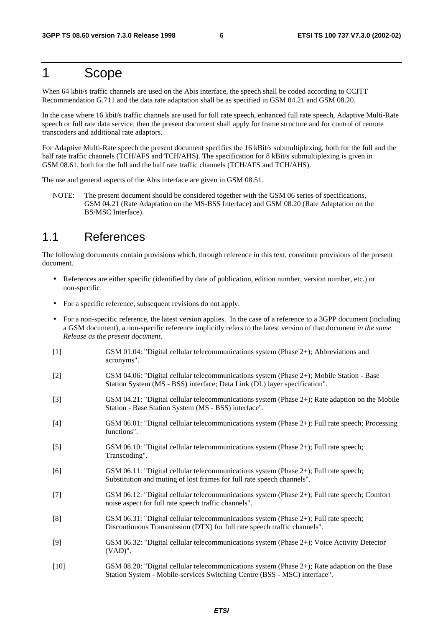# 1 Scope

When 64 kbit/s traffic channels are used on the Abis interface, the speech shall be coded according to CCITT Recommendation G.711 and the data rate adaptation shall be as specified in GSM 04.21 and GSM 08.20.

In the case where 16 kbit/s traffic channels are used for full rate speech, enhanced full rate speech, Adaptive Multi-Rate speech or full rate data service, then the present document shall apply for frame structure and for control of remote transcoders and additional rate adaptors.

For Adaptive Multi-Rate speech the present document specifies the 16 kBit/s submultiplexing, both for the full and the half rate traffic channels (TCH/AFS and TCH/AHS). The specification for 8 kBit/s submultiplexing is given in GSM 08.61, both for the full and the half rate traffic channels (TCH/AFS and TCH/AHS).

The use and general aspects of the Abis interface are given in GSM 08.51.

NOTE: The present document should be considered together with the GSM 06 series of specifications, GSM 04.21 (Rate Adaptation on the MS-BSS Interface) and GSM 08.20 (Rate Adaptation on the BS/MSC Interface).

### 1.1 References

The following documents contain provisions which, through reference in this text, constitute provisions of the present document.

- References are either specific (identified by date of publication, edition number, version number, etc.) or non-specific.
- For a specific reference, subsequent revisions do not apply.
- For a non-specific reference, the latest version applies. In the case of a reference to a 3GPP document (including a GSM document), a non-specific reference implicitly refers to the latest version of that document *in the same Release as the present document*.
- [1] GSM 01.04: "Digital cellular telecommunications system (Phase 2+); Abbreviations and acronyms".
- [2] GSM 04.06: "Digital cellular telecommunications system (Phase 2+); Mobile Station Base Station System (MS - BSS) interface; Data Link (DL) layer specification".
- [3] GSM 04.21: "Digital cellular telecommunications system (Phase 2+); Rate adaption on the Mobile Station - Base Station System (MS - BSS) interface".
- [4] GSM 06.01: "Digital cellular telecommunications system (Phase 2+); Full rate speech; Processing functions".
- [5] GSM 06.10: "Digital cellular telecommunications system (Phase 2+); Full rate speech; Transcoding".
- [6] GSM 06.11: "Digital cellular telecommunications system (Phase 2+); Full rate speech; Substitution and muting of lost frames for full rate speech channels".
- [7] GSM 06.12: "Digital cellular telecommunications system (Phase 2+); Full rate speech; Comfort noise aspect for full rate speech traffic channels".
- [8] GSM 06.31: "Digital cellular telecommunications system (Phase 2+); Full rate speech; Discontinuous Transmission (DTX) for full rate speech traffic channels".
- [9] GSM 06.32: "Digital cellular telecommunications system (Phase 2+); Voice Activity Detector (VAD)".
- [10] GSM 08.20: "Digital cellular telecommunications system (Phase 2+); Rate adaption on the Base Station System - Mobile-services Switching Centre (BSS - MSC) interface".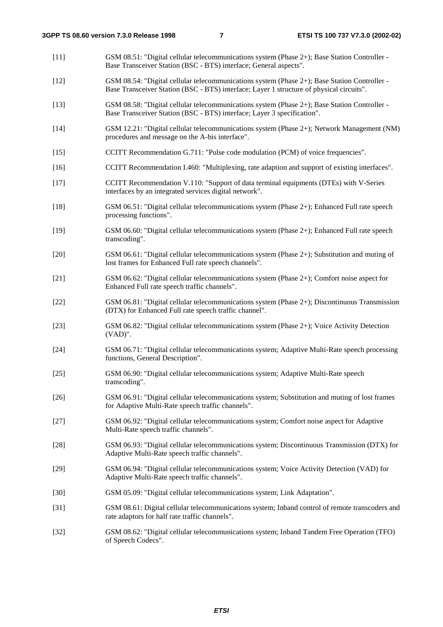- [11] GSM 08.51: "Digital cellular telecommunications system (Phase 2+); Base Station Controller Base Transceiver Station (BSC - BTS) interface; General aspects".
- [12] GSM 08.54: "Digital cellular telecommunications system (Phase 2+); Base Station Controller Base Transceiver Station (BSC - BTS) interface; Layer 1 structure of physical circuits".
- [13] GSM 08.58: "Digital cellular telecommunications system (Phase 2+); Base Station Controller Base Transceiver Station (BSC - BTS) interface; Layer 3 specification".
- [14] GSM 12.21: "Digital cellular telecommunications system (Phase 2+); Network Management (NM) procedures and message on the A-bis interface".
- [15] CCITT Recommendation G.711: "Pulse code modulation (PCM) of voice frequencies".
- [16] CCITT Recommendation I.460: "Multiplexing, rate adaption and support of existing interfaces".
- [17] CCITT Recommendation V.110: "Support of data terminal equipments (DTEs) with V-Series interfaces by an integrated services digital network".
- [18] GSM 06.51: "Digital cellular telecommunications system (Phase 2+); Enhanced Full rate speech processing functions".
- [19] GSM 06.60: "Digital cellular telecommunications system (Phase 2+); Enhanced Full rate speech transcoding".
- [20] GSM 06.61: "Digital cellular telecommunications system (Phase 2+); Substitution and muting of lost frames for Enhanced Full rate speech channels".
- [21] GSM 06.62: "Digital cellular telecommunications system (Phase 2+); Comfort noise aspect for Enhanced Full rate speech traffic channels".
- [22] GSM 06.81: "Digital cellular telecommunications system (Phase 2+); Discontinuous Transmission (DTX) for Enhanced Full rate speech traffic channel".
- [23] GSM 06.82: "Digital cellular telecommunications system (Phase 2+); Voice Activity Detection (VAD)".
- [24] GSM 06.71: "Digital cellular telecommunications system; Adaptive Multi-Rate speech processing functions, General Description".
- [25] GSM 06.90: "Digital cellular telecommunications system; Adaptive Multi-Rate speech transcoding".
- [26] GSM 06.91: "Digital cellular telecommunications system; Substitution and muting of lost frames for Adaptive Multi-Rate speech traffic channels".
- [27] GSM 06.92: "Digital cellular telecommunications system; Comfort noise aspect for Adaptive Multi-Rate speech traffic channels".
- [28] GSM 06.93: "Digital cellular telecommunications system; Discontinuous Transmission (DTX) for Adaptive Multi-Rate speech traffic channels".
- [29] GSM 06.94: "Digital cellular telecommunications system; Voice Activity Detection (VAD) for Adaptive Multi-Rate speech traffic channels".
- [30] GSM 05.09: "Digital cellular telecommunications system; Link Adaptation".
- [31] GSM 08.61: Digital cellular telecommunications system; Inband control of remote transcoders and rate adaptors for half rate traffic channels".
- [32] GSM 08.62: "Digital cellular telecommunications system; Inband Tandem Free Operation (TFO) of Speech Codecs".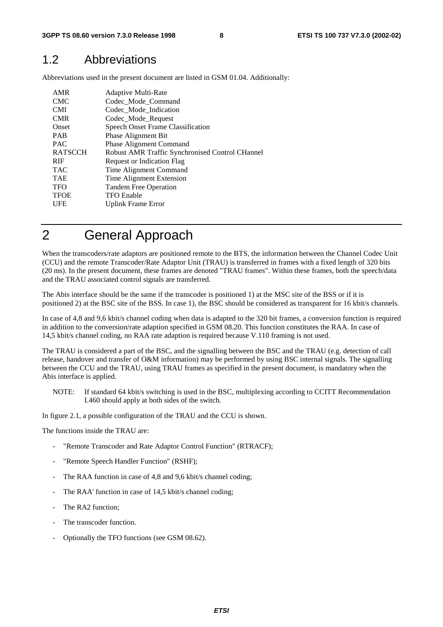### 1.2 Abbreviations

Abbreviations used in the present document are listed in GSM 01.04. Additionally:

| AMR            | <b>Adaptive Multi-Rate</b>                      |
|----------------|-------------------------------------------------|
| <b>CMC</b>     | Codec_Mode_Command                              |
| <b>CMI</b>     | Codec Mode Indication                           |
| <b>CMR</b>     | Codec_Mode_Request                              |
| Onset          | <b>Speech Onset Frame Classification</b>        |
| <b>PAB</b>     | <b>Phase Alignment Bit</b>                      |
| <b>PAC</b>     | <b>Phase Alignment Command</b>                  |
| <b>RATSCCH</b> | Robust AMR Traffic Synchronised Control CHannel |
| <b>RIF</b>     | <b>Request or Indication Flag</b>               |
| <b>TAC</b>     | Time Alignment Command                          |
| <b>TAE</b>     | Time Alignment Extension                        |
| <b>TFO</b>     | <b>Tandem Free Operation</b>                    |
| <b>TFOE</b>    | <b>TFO</b> Enable                               |
| UFE            | <b>Uplink Frame Error</b>                       |

# 2 General Approach

When the transcoders/rate adaptors are positioned remote to the BTS, the information between the Channel Codec Unit (CCU) and the remote Transcoder/Rate Adaptor Unit (TRAU) is transferred in frames with a fixed length of 320 bits (20 ms). In the present document, these frames are denoted "TRAU frames". Within these frames, both the speech/data and the TRAU associated control signals are transferred.

The Abis interface should be the same if the transcoder is positioned 1) at the MSC site of the BSS or if it is positioned 2) at the BSC site of the BSS. In case 1), the BSC should be considered as transparent for 16 kbit/s channels.

In case of 4,8 and 9,6 kbit/s channel coding when data is adapted to the 320 bit frames, a conversion function is required in addition to the conversion/rate adaption specified in GSM 08.20. This function constitutes the RAA. In case of 14,5 kbit/s channel coding, no RAA rate adaption is required because V.110 framing is not used.

The TRAU is considered a part of the BSC, and the signalling between the BSC and the TRAU (e.g. detection of call release, handover and transfer of O&M information) may be performed by using BSC internal signals. The signalling between the CCU and the TRAU, using TRAU frames as specified in the present document, is mandatory when the Abis interface is applied.

NOTE: If standard 64 kbit/s switching is used in the BSC, multiplexing according to CCITT Recommendation I.460 should apply at both sides of the switch.

In figure 2.1, a possible configuration of the TRAU and the CCU is shown.

The functions inside the TRAU are:

- "Remote Transcoder and Rate Adaptor Control Function" (RTRACF):
- "Remote Speech Handler Function" (RSHF);
- The RAA function in case of 4,8 and 9,6 kbit/s channel coding;
- The RAA' function in case of 14,5 kbit/s channel coding;
- The RA2 function;
- The transcoder function.
- Optionally the TFO functions (see GSM 08.62).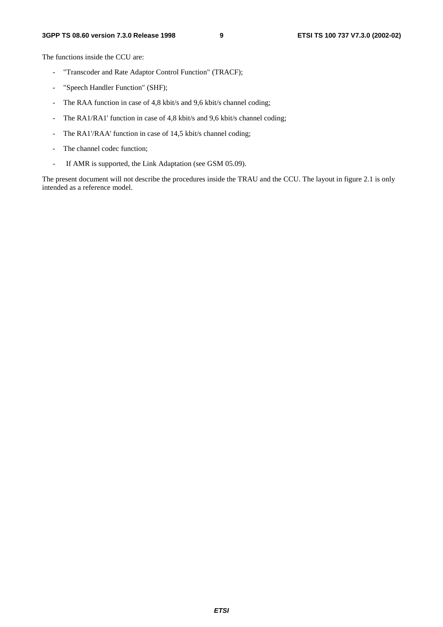The functions inside the CCU are:

- "Transcoder and Rate Adaptor Control Function" (TRACF);
- "Speech Handler Function" (SHF);
- The RAA function in case of 4,8 kbit/s and 9,6 kbit/s channel coding;
- The RA1/RA1' function in case of 4,8 kbit/s and 9,6 kbit/s channel coding;
- The RA1'/RAA' function in case of 14,5 kbit/s channel coding;
- The channel codec function;
- If AMR is supported, the Link Adaptation (see GSM 05.09).

The present document will not describe the procedures inside the TRAU and the CCU. The layout in figure 2.1 is only intended as a reference model.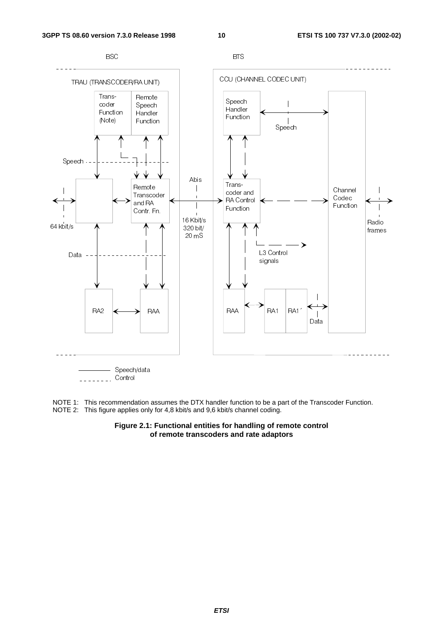

NOTE 1: This recommendation assumes the DTX handler function to be a part of the Transcoder Function. NOTE 2: This figure applies only for 4,8 kbit/s and 9,6 kbit/s channel coding.

### **Figure 2.1: Functional entities for handling of remote control of remote transcoders and rate adaptors**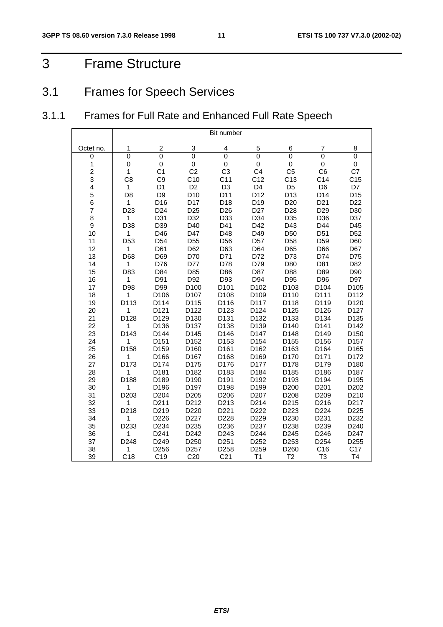# 3 Frame Structure

# 3.1 Frames for Speech Services

# 3.1.1 Frames for Full Rate and Enhanced Full Rate Speech

|                         |                  |                  |                  | Bit number      |                  |                 |                  |                   |
|-------------------------|------------------|------------------|------------------|-----------------|------------------|-----------------|------------------|-------------------|
| Octet no.               | 1                | 2                | 3                | $\overline{4}$  | 5                | 6               | 7                | 8                 |
| 0                       | 0                | $\overline{0}$   | $\mathbf 0$      | $\mathbf 0$     | 0                | $\mathbf 0$     | 0                | $\mathbf 0$       |
| 1                       | 0                | 0                | 0                | $\pmb{0}$       | 0                | 0               | 0                | 0                 |
| $\overline{\mathbf{c}}$ | 1                | C <sub>1</sub>   | C <sub>2</sub>   | C <sub>3</sub>  | C <sub>4</sub>   | C <sub>5</sub>  | C <sub>6</sub>   | C7                |
| 3                       | C <sub>8</sub>   | C <sub>9</sub>   | C10              | C <sub>11</sub> | C12              | C <sub>13</sub> | C <sub>14</sub>  | C <sub>15</sub>   |
| 4                       | $\mathbf{1}$     | D <sub>1</sub>   | D <sub>2</sub>   | D <sub>3</sub>  | D <sub>4</sub>   | D <sub>5</sub>  | D <sub>6</sub>   | D7                |
| 5                       | D <sub>8</sub>   | D <sub>9</sub>   | D <sub>10</sub>  | D11             | D12              | D13             | D14              | D15               |
| 6                       | $\mathbf{1}$     | D16              | D17              | D18             | D19              | D <sub>20</sub> | D <sub>21</sub>  | D <sub>22</sub>   |
| $\overline{\mathbf{7}}$ | D <sub>23</sub>  | D <sub>24</sub>  | D <sub>25</sub>  | D <sub>26</sub> | D <sub>27</sub>  | D <sub>28</sub> | D <sub>29</sub>  | D30               |
| 8                       | 1                | D31              | D32              | D33             | D34              | D35             | D36              | D37               |
| 9                       | D38              | D39              | D40              | D41             | D42              | D43             | D44              | D45               |
| 10                      | $\mathbf{1}$     | D46              | D47              | D48             | D49              | D <sub>50</sub> | D <sub>51</sub>  | D <sub>52</sub>   |
| 11                      | D <sub>53</sub>  | D <sub>54</sub>  | D <sub>55</sub>  | D <sub>56</sub> | D <sub>57</sub>  | D <sub>58</sub> | D <sub>59</sub>  | D60               |
| 12                      | 1                | D61              | D62              | D63             | D64              | D65             | D66              | D67               |
| 13                      | D68              | D69              | D70              | D71             | D72              | D73             | D74              | D75               |
| 14                      | $\mathbf{1}$     | D76              | D77              | D78             | D79              | D80             | D81              | D82               |
| 15                      | D83              | D84              | D85              | D86             | D87              | D88             | D89              | D90               |
| 16                      | 1                | D91              | D92              | D93             | D94              | D95             | D96              | D97               |
| 17                      | D98              | D99              | D100             | D101            | D102             | D103            | D104             | D105              |
| 18                      | 1                | D106             | D <sub>107</sub> | D108            | D109             | D110            | D111             | D112              |
| 19                      | D113             | D114             | D115             | D116            | D117             | D118            | D119             | D <sub>120</sub>  |
| 20                      | 1                | D121             | D122             | D123            | D124             | D125            | D126             | D127              |
| 21                      | D128             | D129             | D130             | D131            | D132             | D133            | D134             | D135              |
| 22                      | 1                | D136             | D137             | D138            | D139             | D140            | D141             | D142              |
| 23                      | D143             | D144             | D145             | D146            | D147             | D148            | D149             | D150              |
| 24                      | 1                | D151             | D152             | D153            | D154             | D155            | D156             | D157              |
| 25                      | D158             | D159             | D160             | D161            | D162             | D163            | D164             | D165              |
| 26                      | 1                | D166             | D <sub>167</sub> | D168            | D169             | D170            | D171             | D172              |
| 27                      | D173             | D174             | D175             | D176            | D177             | D178            | D179             | D180              |
| 28                      | 1                | D181             | D182             | D183            | D184             | D185            | D186             | D187              |
| 29                      | D188             | D189             | D190             | D191            | D192             | D193            | D194             | D195              |
| 30                      | 1                | D196             | D197             | D198            | D199             | D200            | D <sub>201</sub> | D <sub>202</sub>  |
| 31                      | D <sub>203</sub> | D <sub>204</sub> | D <sub>205</sub> | D206            | D <sub>207</sub> | D208            | D209             | D210              |
| 32                      | 1                | D211             | D212             | D213            | D214             | D215            | D216             | D <sub>2</sub> 17 |
| 33                      | D218             | D219             | D220             | D221            | D222             | D223            | D <sub>224</sub> | D <sub>225</sub>  |
| 34                      | 1                | D226             | D227             | D228            | D229             | D230            | D231             | D232              |
| 35                      | D233             | D234             | D235             | D236            | D237             | D238            | D239             | D <sub>240</sub>  |
| 36                      | 1                | D241             | D242             | D243            | D244             | D245            | D246             | D247              |
| 37                      | D248             | D249             | D250             | D251            | D252             | D253            | D254             | D255              |
| 38                      | 1                | D256             | D <sub>257</sub> | D258            | D259             | D260            | C <sub>16</sub>  | C17               |
| 39                      | C <sub>18</sub>  | C <sub>19</sub>  | C <sub>20</sub>  | C <sub>21</sub> | T1               | T <sub>2</sub>  | T <sub>3</sub>   | T4                |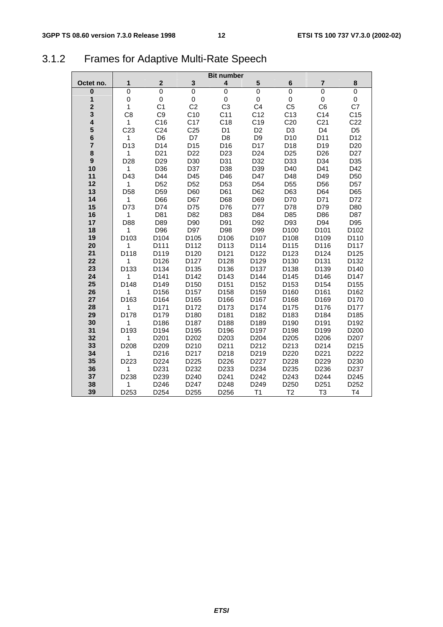# 3.1.2 Frames for Adaptive Multi-Rate Speech

|                         |                  |                  |                   | <b>Bit number</b>       |                   |                  |                  |                  |
|-------------------------|------------------|------------------|-------------------|-------------------------|-------------------|------------------|------------------|------------------|
| Octet no.               | 1                | $\mathbf 2$      | $\mathbf 3$       | $\overline{\mathbf{4}}$ | 5                 | 6                | 7                | 8                |
| $\mathbf 0$             | 0                | $\mathbf 0$      | $\mathbf 0$       | $\mathbf 0$             | $\mathbf 0$       | $\mathbf 0$      | $\mathbf 0$      | 0                |
| 1                       | 0                | 0                | 0                 | $\pmb{0}$               | 0                 | 0                | 0                | 0                |
| $\overline{\mathbf{2}}$ | $\mathbf{1}$     | C <sub>1</sub>   | C <sub>2</sub>    | C <sub>3</sub>          | C <sub>4</sub>    | C <sub>5</sub>   | C <sub>6</sub>   | C7               |
| 3                       | C <sub>8</sub>   | C <sub>9</sub>   | C10               | C <sub>11</sub>         | C12               | C13              | C <sub>14</sub>  | C <sub>15</sub>  |
| 4                       | 1                | C <sub>16</sub>  | C <sub>17</sub>   | C <sub>18</sub>         | C <sub>19</sub>   | C <sub>20</sub>  | C <sub>21</sub>  | C <sub>22</sub>  |
| 5                       | C <sub>23</sub>  | C <sub>24</sub>  | C <sub>25</sub>   | D <sub>1</sub>          | D <sub>2</sub>    | D <sub>3</sub>   | D <sub>4</sub>   | D <sub>5</sub>   |
| 6                       | 1                | D <sub>6</sub>   | D7                | D <sub>8</sub>          | D <sub>9</sub>    | D <sub>10</sub>  | D11              | D <sub>12</sub>  |
| $\overline{7}$          | D <sub>13</sub>  | D14              | D <sub>15</sub>   | D16                     | D17               | D18              | D <sub>19</sub>  | D <sub>20</sub>  |
| 8                       | $\mathbf{1}$     | D <sub>21</sub>  | D <sub>22</sub>   | D <sub>23</sub>         | D <sub>24</sub>   | D <sub>25</sub>  | D <sub>26</sub>  | D <sub>27</sub>  |
| 9                       | D <sub>28</sub>  | D <sub>29</sub>  | D30               | D31                     | D32               | D33              | D34              | D35              |
| 10                      | 1                | D36              | D37               | D38                     | D39               | D40              | D41              | D42              |
| 11                      | D43              | D44              | D45               | D46                     | D47               | D48              | D49              | D <sub>50</sub>  |
| 12                      | 1                | D <sub>52</sub>  | D <sub>52</sub>   | D <sub>53</sub>         | D <sub>54</sub>   | D <sub>55</sub>  | D <sub>56</sub>  | D <sub>57</sub>  |
| 13                      | D <sub>58</sub>  | D <sub>59</sub>  | D60               | D61                     | D62               | D63              | D64              | D65              |
| 14                      | 1                | D66              | D67               | D68                     | D69               | D70              | D71              | D72              |
| 15                      | D73              | D74              | D75               | D76                     | D77               | D78              | D79              | D80              |
| 16                      | 1                | D81              | D82               | D83                     | D84               | D85              | D86              | D87              |
| 17<br>18                | D88              | D89<br>D96       | D90<br>D97        | D91<br>D98              | D92<br>D99        | D93<br>D100      | D94<br>D101      | D95<br>D102      |
| 19                      | 1<br>D103        | D <sub>104</sub> | D <sub>105</sub>  | D106                    | D <sub>107</sub>  | D <sub>108</sub> | D <sub>109</sub> | D110             |
| 20                      | 1                | D111             | D112              | D113                    | D114              | D115             | D116             | D117             |
| 21                      | D118             | D119             | D120              | D121                    | D122              | D123             | D124             | D125             |
| 22                      | 1                | D126             | D127              | D128                    | D129              | D130             | D131             | D132             |
| 23                      | D133             | D <sub>134</sub> | D135              | D136                    | D <sub>137</sub>  | D138             | D139             | D140             |
| 24                      | 1                | D141             | D142              | D143                    | D144              | D145             | D146             | D147             |
| 25                      | D148             | D149             | D150              | D151                    | D152              | D153             | D154             | D155             |
| 26                      | 1                | D156             | D157              | D158                    | D159              | D160             | D161             | D162             |
| 27                      | D163             | D164             | D165              | D166                    | D167              | D168             | D169             | D170             |
| 28                      | 1                | D171             | D172              | D173                    | D174              | D175             | D176             | D177             |
| 29                      | D178             | D179             | D <sub>180</sub>  | D181                    | D182              | D183             | D184             | D185             |
| 30                      | 1                | D186             | D187              | D188                    | D189              | D <sub>190</sub> | D191             | D192             |
| 31                      | D <sub>193</sub> | D <sub>194</sub> | D195              | D196                    | D <sub>197</sub>  | D <sub>198</sub> | D <sub>199</sub> | D <sub>200</sub> |
| 32                      | 1                | D <sub>201</sub> | D <sub>202</sub>  | D <sub>203</sub>        | D <sub>204</sub>  | D <sub>205</sub> | D206             | D <sub>207</sub> |
| 33                      | D <sub>208</sub> | D <sub>209</sub> | D <sub>210</sub>  | D211                    | D <sub>2</sub> 12 | D213             | D214             | D <sub>215</sub> |
| 34                      | 1                | D216             | D <sub>2</sub> 17 | D218                    | D219              | D220             | D221             | D222             |
| 35                      | D223             | D224             | D225              | D226                    | D227              | D228             | D229             | D230             |
| 36                      | 1                | D231             | D232              | D233                    | D234              | D235             | D236             | D237             |
| 37                      | D238             | D239             | D <sub>240</sub>  | D <sub>241</sub>        | D242              | D243             | D244             | D245             |
| 38                      | 1                | D246             | D247              | D248                    | D249              | D250             | D251             | D252             |
| 39                      | D253             | D254             | D255              | D256                    | T1                | T <sub>2</sub>   | T <sub>3</sub>   | T <sub>4</sub>   |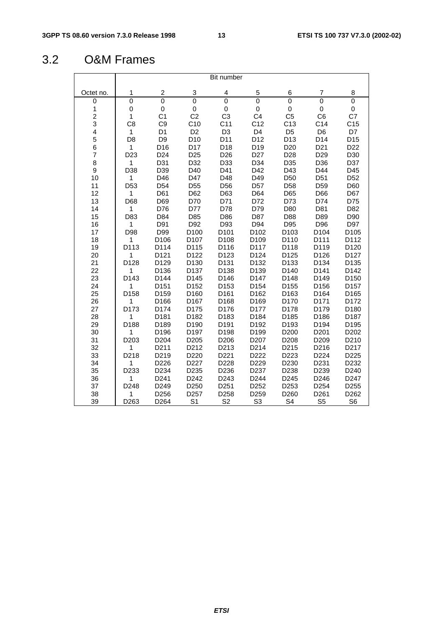# 3.2 O&M Frames

|                         |                  |                         |                          | Bit number      |                  |                          |                  |                  |
|-------------------------|------------------|-------------------------|--------------------------|-----------------|------------------|--------------------------|------------------|------------------|
| Octet no.               | 1                | $\overline{\mathbf{c}}$ | 3                        | 4               | 5                | 6                        | 7                | 8                |
| 0                       | $\mathbf 0$      | $\mathsf 0$             | $\mathsf 0$              | 0               | $\mathbf 0$      | $\mathbf 0$              | $\mathbf 0$      | $\mathsf 0$      |
| $\mathbf{1}$            | 0                | $\mathsf 0$             | $\pmb{0}$                | 0               | $\mathsf 0$      | $\pmb{0}$                | 0                | 0                |
| $\frac{2}{3}$           | $\mathbf{1}$     | C <sub>1</sub>          | C <sub>2</sub>           | C <sub>3</sub>  | C <sub>4</sub>   | C <sub>5</sub>           | C <sub>6</sub>   | C7               |
|                         | C <sub>8</sub>   | C <sub>9</sub>          | C10                      | C <sub>11</sub> | C <sub>12</sub>  | C13                      | C <sub>14</sub>  | C <sub>15</sub>  |
| $\overline{4}$          | $\mathbf{1}$     | D <sub>1</sub>          | D <sub>2</sub>           | D <sub>3</sub>  | D <sub>4</sub>   | D <sub>5</sub>           | D <sub>6</sub>   | D7               |
| 5                       | D <sub>8</sub>   | D <sub>9</sub>          | D <sub>10</sub>          | D11             | D12              | D13                      | D14              | D15              |
| 6                       | $\mathbf{1}$     | D16                     | D17                      | D18             | D19              | D <sub>20</sub>          | D <sub>21</sub>  | D <sub>22</sub>  |
| $\overline{\mathbf{7}}$ | D <sub>23</sub>  | D <sub>24</sub>         | D <sub>25</sub>          | D <sub>26</sub> | D <sub>27</sub>  | D <sub>28</sub>          | D <sub>29</sub>  | D30              |
| 8                       | 1                | D31                     | D32                      | D33             | D34              | D35                      | D36              | D37              |
| 9                       | D38              | D39                     | D40                      | D41             | D42              | D43                      | D44              | D45              |
| 10                      | $\mathbf{1}$     | D46                     | D47                      | D48             | D49              | D <sub>50</sub>          | D <sub>51</sub>  | D <sub>52</sub>  |
| 11                      | D <sub>53</sub>  | D <sub>54</sub>         | D <sub>55</sub>          | D <sub>56</sub> | D <sub>57</sub>  | D <sub>58</sub>          | D <sub>59</sub>  | D60              |
| 12                      | 1                | D61                     | D62                      | D63             | D64              | D65                      | D66              | D67              |
| 13                      | D68              | D69                     | D70                      | D71             | D72              | D73                      | D74              | D75              |
| 14                      | 1                | D76                     | D77                      | D78             | D79              | D80                      | D81              | D82              |
| 15                      | D83              | D84                     | D85                      | D86             | D87              | D88                      | D89              | D90              |
| 16                      | 1<br>D98         | D91<br>D99              | D92                      | D93             | D94              | D95                      | D96              | D97              |
| 17<br>18                | 1                | D106                    | D100<br>D <sub>107</sub> | D101<br>D108    | D102<br>D109     | D103<br>D <sub>110</sub> | D104<br>D111     | D105<br>D112     |
| 19                      | D113             | D114                    | D115                     | D116            | D117             | D118                     | D119             | D120             |
| 20                      | 1                | D121                    | D122                     | D123            | D124             | D125                     | D126             | D127             |
| 21                      | D128             | D129                    | D130                     | D131            | D132             | D133                     | D134             | D135             |
| 22                      | 1                | D136                    | D137                     | D138            | D139             | D140                     | D141             | D142             |
| 23                      | D <sub>143</sub> | D144                    | D145                     | D146            | D <sub>147</sub> | D148                     | D149             | D <sub>150</sub> |
| 24                      | 1                | D151                    | D152                     | D153            | D154             | D155                     | D156             | D157             |
| 25                      | D158             | D159                    | D160                     | D161            | D162             | D163                     | D164             | D165             |
| 26                      | 1                | D166                    | D167                     | D168            | D169             | D170                     | D171             | D172             |
| 27                      | D173             | D174                    | D175                     | D176            | D177             | D178                     | D179             | D180             |
| 28                      | 1                | D181                    | D182                     | D183            | D184             | D185                     | D186             | D187             |
| 29                      | D188             | D189                    | D <sub>190</sub>         | D191            | D192             | D193                     | D194             | D195             |
| 30                      | 1                | D196                    | D197                     | D198            | D199             | D200                     | D <sub>201</sub> | D202             |
| 31                      | D <sub>203</sub> | D204                    | D205                     | D206            | D207             | D208                     | D209             | D210             |
| 32                      | 1                | D211                    | D212                     | D213            | D214             | D215                     | D216             | D217             |
| 33                      | D218             | D219                    | D220                     | D221            | D222             | D223                     | D224             | D225             |
| 34                      | 1                | D226                    | D227                     | D228            | D229             | D <sub>230</sub>         | D231             | D232             |
| 35                      | D233             | D234                    | D235                     | D236            | D237             | D238                     | D239             | D240             |
| 36                      | 1                | D241                    | D242                     | D243            | D244             | D245                     | D246             | D247             |
| 37                      | D248             | D249                    | D250                     | D251            | D252             | D253                     | D254             | D255             |
| 38                      | 1                | D256                    | D257                     | D258            | D259             | D260                     | D261             | D262             |
| 39                      | D <sub>263</sub> | D <sub>264</sub>        | S <sub>1</sub>           | S <sub>2</sub>  | S <sub>3</sub>   | S <sub>4</sub>           | S <sub>5</sub>   | S <sub>6</sub>   |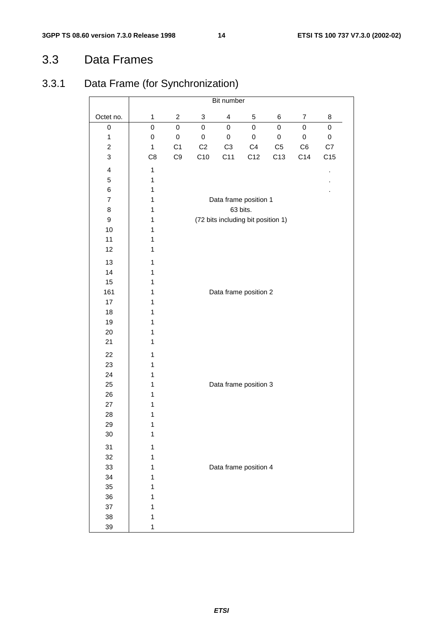# 3.3 Data Frames

# 3.3.1 Data Frame (for Synchronization)

|                         | Bit number   |                  |                  |                         |                                    |                 |                |                 |  |
|-------------------------|--------------|------------------|------------------|-------------------------|------------------------------------|-----------------|----------------|-----------------|--|
| Octet no.               | $\mathbf{1}$ | $\boldsymbol{2}$ | 3                | $\overline{\mathbf{4}}$ | 5                                  | 6               | $\overline{7}$ | 8               |  |
| 0                       | $\mathbf 0$  | $\mathbf 0$      | 0                | $\mathbf 0$             | $\mathbf 0$                        | $\mathbf 0$     | 0              | $\mathsf 0$     |  |
| $\mathbf{1}$            | 0            | $\pmb{0}$        | $\boldsymbol{0}$ | $\pmb{0}$               | $\mathsf 0$                        | $\pmb{0}$       | $\pmb{0}$      | $\mathsf 0$     |  |
| $\overline{c}$          | $\mathbf{1}$ | C <sub>1</sub>   | C <sub>2</sub>   | C <sub>3</sub>          | C <sub>4</sub>                     | C <sub>5</sub>  | C <sub>6</sub> | C7              |  |
| 3                       | C8           | C9               | C10              | C11                     | C12                                | C <sub>13</sub> | C14            | C <sub>15</sub> |  |
| $\overline{\mathbf{4}}$ | 1            |                  |                  |                         |                                    |                 |                | ï               |  |
| 5                       | 1            |                  |                  |                         |                                    |                 |                |                 |  |
| 6                       | 1            |                  |                  |                         |                                    |                 |                |                 |  |
| $\overline{7}$          | 1            |                  |                  |                         | Data frame position 1              |                 |                |                 |  |
| 8                       | 1            |                  |                  |                         | 63 bits.                           |                 |                |                 |  |
| $\boldsymbol{9}$        | 1            |                  |                  |                         | (72 bits including bit position 1) |                 |                |                 |  |
| 10                      | $\mathbf 1$  |                  |                  |                         |                                    |                 |                |                 |  |
| 11                      | $\mathbf 1$  |                  |                  |                         |                                    |                 |                |                 |  |
| 12                      | 1            |                  |                  |                         |                                    |                 |                |                 |  |
| 13                      | 1            |                  |                  |                         |                                    |                 |                |                 |  |
| 14                      | 1            |                  |                  |                         |                                    |                 |                |                 |  |
| 15                      | 1            |                  |                  |                         |                                    |                 |                |                 |  |
| 161                     | $\mathbf 1$  |                  |                  |                         | Data frame position 2              |                 |                |                 |  |
| 17                      | $\mathbf 1$  |                  |                  |                         |                                    |                 |                |                 |  |
| 18                      | $\mathbf 1$  |                  |                  |                         |                                    |                 |                |                 |  |
| 19                      | 1            |                  |                  |                         |                                    |                 |                |                 |  |
| 20                      | $\mathbf 1$  |                  |                  |                         |                                    |                 |                |                 |  |
| 21                      | 1            |                  |                  |                         |                                    |                 |                |                 |  |
| 22                      | $\mathbf{1}$ |                  |                  |                         |                                    |                 |                |                 |  |
| 23                      | $\mathbf 1$  |                  |                  |                         |                                    |                 |                |                 |  |
| 24                      | 1            |                  |                  |                         |                                    |                 |                |                 |  |
| 25                      | 1            |                  |                  |                         | Data frame position 3              |                 |                |                 |  |
| 26                      | 1            |                  |                  |                         |                                    |                 |                |                 |  |
| 27                      | 1            |                  |                  |                         |                                    |                 |                |                 |  |
| 28                      | 1            |                  |                  |                         |                                    |                 |                |                 |  |
| 29                      | 1            |                  |                  |                         |                                    |                 |                |                 |  |
| 30                      | 1            |                  |                  |                         |                                    |                 |                |                 |  |
| 31                      | $\mathbf 1$  |                  |                  |                         |                                    |                 |                |                 |  |
| 32                      | $\mathbf 1$  |                  |                  |                         |                                    |                 |                |                 |  |
| 33                      | $\mathbf 1$  |                  |                  |                         | Data frame position 4              |                 |                |                 |  |
| 34                      | $\mathbf 1$  |                  |                  |                         |                                    |                 |                |                 |  |
| 35                      | $\mathbf{1}$ |                  |                  |                         |                                    |                 |                |                 |  |
| 36                      | $\mathbf 1$  |                  |                  |                         |                                    |                 |                |                 |  |
| 37                      | $\mathbf 1$  |                  |                  |                         |                                    |                 |                |                 |  |
| 38                      | $\mathbf 1$  |                  |                  |                         |                                    |                 |                |                 |  |
| 39                      | 1            |                  |                  |                         |                                    |                 |                |                 |  |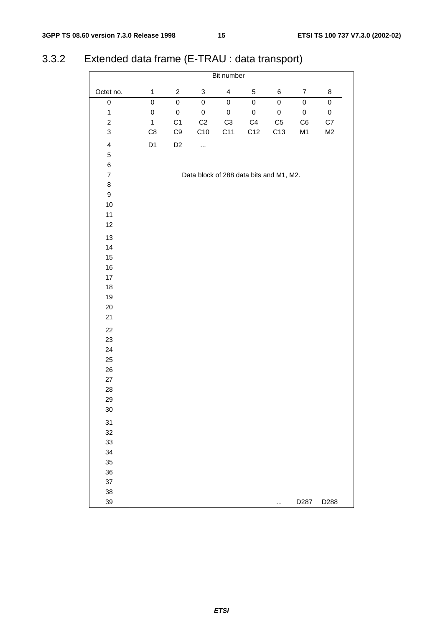# 3.3.2 Extended data frame (E-TRAU : data transport)

|                         |              |                |                                         | Bit number       |                     |            |                  |           |
|-------------------------|--------------|----------------|-----------------------------------------|------------------|---------------------|------------|------------------|-----------|
| Octet no.               | $\mathbf{1}$ | $\overline{a}$ | $\ensuremath{\mathsf{3}}$               | $\overline{4}$   | $\sqrt{5}$          | 6          | $\boldsymbol{7}$ | 8         |
| $\boldsymbol{0}$        | 0            | $\pmb{0}$      | $\boldsymbol{0}$                        | $\boldsymbol{0}$ | $\mathsf{O}\xspace$ | $\pmb{0}$  | $\pmb{0}$        | $\pmb{0}$ |
| $\mathbf{1}$            | $\mathsf 0$  | $\mathbf 0$    | $\mathbf 0$                             | $\pmb{0}$        | $\pmb{0}$           | $\pmb{0}$  | $\mathbf 0$      | $\pmb{0}$ |
| $\overline{a}$          | $\mathbf 1$  | C <sub>1</sub> | C <sub>2</sub>                          | $\mathbb{C}3$    | C4                  | ${\rm C}5$ | C6               | C7        |
| $\mathbf{3}$            | C8           | $\mathbb{C}9$  | C10                                     | C11              | C12                 | C13        | M1               | M2        |
| $\overline{\mathbf{4}}$ | D1           | D <sub>2</sub> |                                         |                  |                     |            |                  |           |
| 5                       |              |                |                                         |                  |                     |            |                  |           |
| $\,6$                   |              |                |                                         |                  |                     |            |                  |           |
| $\overline{7}$          |              |                | Data block of 288 data bits and M1, M2. |                  |                     |            |                  |           |
| 8                       |              |                |                                         |                  |                     |            |                  |           |
| 9                       |              |                |                                         |                  |                     |            |                  |           |
| $10$                    |              |                |                                         |                  |                     |            |                  |           |
| 11                      |              |                |                                         |                  |                     |            |                  |           |
| 12                      |              |                |                                         |                  |                     |            |                  |           |
| 13                      |              |                |                                         |                  |                     |            |                  |           |
| 14                      |              |                |                                         |                  |                     |            |                  |           |
| 15                      |              |                |                                         |                  |                     |            |                  |           |
| 16                      |              |                |                                         |                  |                     |            |                  |           |
| $17\,$                  |              |                |                                         |                  |                     |            |                  |           |
| 18                      |              |                |                                         |                  |                     |            |                  |           |
| 19                      |              |                |                                         |                  |                     |            |                  |           |
| 20                      |              |                |                                         |                  |                     |            |                  |           |
| 21                      |              |                |                                         |                  |                     |            |                  |           |
| 22                      |              |                |                                         |                  |                     |            |                  |           |
| 23                      |              |                |                                         |                  |                     |            |                  |           |
| 24                      |              |                |                                         |                  |                     |            |                  |           |
| 25                      |              |                |                                         |                  |                     |            |                  |           |
| 26                      |              |                |                                         |                  |                     |            |                  |           |
| 27                      |              |                |                                         |                  |                     |            |                  |           |
| 28                      |              |                |                                         |                  |                     |            |                  |           |
| 29                      |              |                |                                         |                  |                     |            |                  |           |
| $30\,$                  |              |                |                                         |                  |                     |            |                  |           |
| 31                      |              |                |                                         |                  |                     |            |                  |           |
| 32                      |              |                |                                         |                  |                     |            |                  |           |
| 33                      |              |                |                                         |                  |                     |            |                  |           |
| 34                      |              |                |                                         |                  |                     |            |                  |           |
| 35                      |              |                |                                         |                  |                     |            |                  |           |
| 36                      |              |                |                                         |                  |                     |            |                  |           |
| 37                      |              |                |                                         |                  |                     |            |                  |           |
| 38                      |              |                |                                         |                  |                     |            |                  |           |
| 39                      |              |                |                                         |                  |                     | $\cdots$   | D287             | D288      |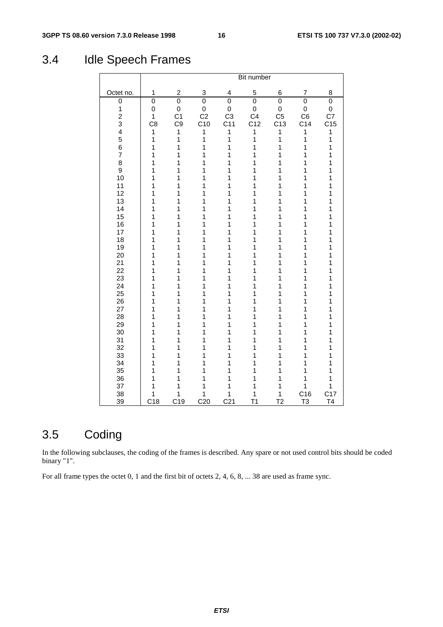# 3.4 Idle Speech Frames

|                         |                |                  |                 |                 | Bit number     |                 |                 |                 |
|-------------------------|----------------|------------------|-----------------|-----------------|----------------|-----------------|-----------------|-----------------|
| Octet no.               | 1              | $\boldsymbol{2}$ | 3               | 4               | 5              | 6               | 7               | 8               |
| 0                       | 0              | $\overline{0}$   | $\overline{0}$  | $\overline{0}$  | $\mathbf 0$    | 0               | $\overline{0}$  | 0               |
| $\mathbf{1}$            | 0              | $\mathsf 0$      | 0               | 0               | $\pmb{0}$      | $\mathsf 0$     | 0               | 0               |
| $\overline{c}$          | $\mathbf{1}$   | C <sub>1</sub>   | C <sub>2</sub>  | C <sub>3</sub>  | C <sub>4</sub> | C <sub>5</sub>  | C <sub>6</sub>  | C7              |
| 3                       | C <sub>8</sub> | C <sub>9</sub>   | C10             | C <sub>11</sub> | C12            | C <sub>13</sub> | C <sub>14</sub> | C <sub>15</sub> |
| $\overline{\mathbf{4}}$ | $\mathbf{1}$   | 1                | 1               | 1               | 1              | 1               | 1               | 1               |
| 5                       | $\mathbf{1}$   | $\mathbf{1}$     | 1               | $\overline{1}$  | $\mathbf{1}$   | $\mathbf{1}$    | $\mathbf{1}$    | $\mathbf 1$     |
| 6                       | $\mathbf{1}$   | 1                | 1               | 1               | 1              | $\mathbf{1}$    | 1               | $\mathbf 1$     |
| $\overline{7}$          | 1              | 1                | 1               | 1               | 1              | 1               | 1               | $\mathbf 1$     |
| 8                       | 1              | 1                | 1               | 1               | 1              | 1               | 1               | 1               |
| 9                       | 1              | 1                | 1               | 1               | 1              | 1               | 1               | 1               |
| 10                      | 1              | 1                | 1               | 1               | 1              | 1               | 1               | 1               |
| 11                      | 1              | 1                | 1               | 1               | 1              | 1               | 1               | 1               |
| 12                      | 1              | 1                | 1               | 1               | 1              | 1               | 1               | 1               |
| 13                      | 1              | 1                | 1               | 1               | 1              | 1               | 1               | 1               |
| 14                      | 1              | 1                | 1               | 1               | 1              | 1               | 1               | 1               |
| 15                      | 1              | 1                | 1               | 1               | 1              | 1               | 1               | 1               |
| 16<br>17                | 1<br>1         | 1<br>1           | 1<br>1          | 1<br>1          | 1<br>1         | 1<br>1          | 1<br>1          | 1<br>1          |
| 18                      | 1              | 1                | 1               | 1               | 1              | 1               | 1               | 1               |
| 19                      | 1              | 1                | 1               | 1               | 1              | 1               | 1               | 1               |
| 20                      | 1              | 1                | 1               | 1               | 1              | 1               | 1               | 1               |
| 21                      | 1              | 1                | 1               | 1               | 1              | 1               | 1               | 1               |
| 22                      | 1              | 1                | 1               | 1               | 1              | 1               | 1               | 1               |
| 23                      | 1              | 1                | 1               | 1               | 1              | 1               | 1               | 1               |
| 24                      | 1              | 1                | 1               | 1               | 1              | 1               | 1               | 1               |
| 25                      | 1              | 1                | 1               | 1               | 1              | 1               | 1               | 1               |
| 26                      | 1              | 1                | 1               | 1               | 1              | 1               | 1               | 1               |
| 27                      | 1              | 1                | 1               | 1               | 1              | 1               | 1               | 1               |
| 28                      | 1              | 1                | 1               | 1               | 1              | 1               | 1               | 1               |
| 29                      | 1              | 1                | 1               | 1               | 1              | 1               | 1               | 1               |
| 30                      | 1              | 1                | 1               | 1               | 1              | 1               | 1               | 1               |
| 31                      | 1              | 1                | 1               | 1               | 1              | 1               | 1               | 1               |
| 32                      | 1              | 1                | 1               | 1               | 1              | 1               | 1               | 1               |
| 33                      | 1              | 1                | 1               | 1               | 1              | 1               | 1               | 1               |
| 34                      | 1              | 1                | 1               | 1               | 1              | 1               | 1               | 1               |
| 35                      | 1              | 1                | 1               | 1               | 1              | 1               | 1               | 1               |
| 36                      | 1              | 1                | 1               | 1               | 1              | 1               | 1               | 1               |
| 37                      | 1              | 1                | 1               | 1               | 1              | 1               | $\overline{1}$  | 1               |
| 38                      | 1              | 1                | 1               | 1               | 1              | $\mathbf{1}$    | C16             | C17             |
| 39                      | C18            | C19              | C <sub>20</sub> | C <sub>21</sub> | T <sub>1</sub> | T <sub>2</sub>  | T <sub>3</sub>  | T <sub>4</sub>  |

# 3.5 Coding

In the following subclauses, the coding of the frames is described. Any spare or not used control bits should be coded binary "1".

For all frame types the octet 0, 1 and the first bit of octets 2, 4, 6, 8, ... 38 are used as frame sync.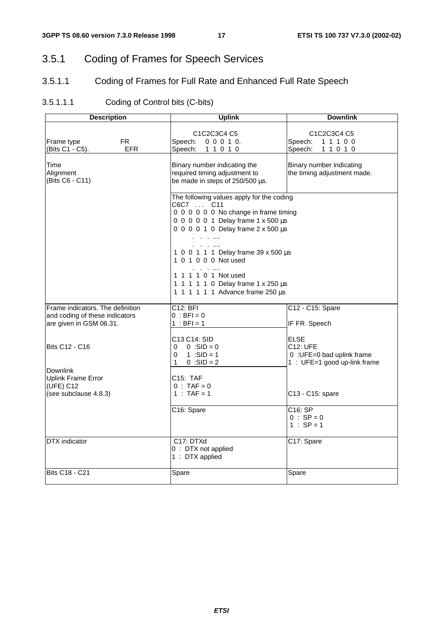# 3.5.1 Coding of Frames for Speech Services

## 3.5.1.1 Coding of Frames for Full Rate and Enhanced Full Rate Speech

### 3.5.1.1.1 Coding of Control bits (C-bits)

| <b>Description</b>                                                                            | <b>Uplink</b>                                                                                                                                                                                                                                                                                                                                                                      | <b>Downlink</b>                                                                       |  |  |
|-----------------------------------------------------------------------------------------------|------------------------------------------------------------------------------------------------------------------------------------------------------------------------------------------------------------------------------------------------------------------------------------------------------------------------------------------------------------------------------------|---------------------------------------------------------------------------------------|--|--|
| FR.<br>Frame type<br>(Bits C1 - C5).<br><b>EFR</b>                                            | C <sub>1</sub> C <sub>2</sub> C <sub>3</sub> C <sub>4</sub> C <sub>5</sub><br>Speech:<br>0 0 0 1 0.<br>Speech:<br>11010                                                                                                                                                                                                                                                            | C1C2C3C4 C5<br>Speech:<br>11100<br>Speech:<br>11010                                   |  |  |
| Time<br>Alignment<br>(Bits C6 - C11)                                                          | Binary number indicating the<br>required timing adjustment to<br>be made in steps of 250/500 µs.                                                                                                                                                                                                                                                                                   | Binary number indicating<br>the timing adjustment made.                               |  |  |
|                                                                                               | The following values apply for the coding<br>C6C7  C11<br>0 0 0 0 0 0 No change in frame timing<br>0 0 0 0 0 1 Delay frame 1 x 500 µs<br>0 0 0 0 1 0 Delay frame 2 x 500 µs<br>.<br>.<br>1 0 0 1 1 1 Delay frame 39 x 500 µs<br>1 0 1 0 0 0 Not used<br><b>Contract Contract</b><br>1 1 1 1 0 1 Not used<br>1 1 1 1 1 0 Delay frame 1 x 250 µs<br>1 1 1 1 1 1 Advance frame 250 µs |                                                                                       |  |  |
| Frame indicators. The definition<br>and coding of these indicators<br>are given in GSM 06.31. | C12: BFI<br>$0 : BFI = 0$<br>1 : BFI = 1                                                                                                                                                                                                                                                                                                                                           | C12 - C15: Spare<br>IF FR. Speech                                                     |  |  |
| <b>Bits C12 - C16</b>                                                                         | C13 C14: SID<br>$0 : SID = 0$<br>0<br>1 :SID = 1<br>0<br>$0 : SID = 2$<br>1                                                                                                                                                                                                                                                                                                        | <b>ELSE</b><br>C12: UFE<br>0 : UFE=0 bad uplink frame<br>1 : UFE=1 good up-link frame |  |  |
| <b>Downlink</b><br>Uplink Frame Error<br>(UFE) C12<br>(see subclause 4.8.3)                   | C15: TAF<br>$0 : TAF = 0$<br>1 : TAF = 1                                                                                                                                                                                                                                                                                                                                           | C13 - C15: spare                                                                      |  |  |
|                                                                                               | C16: Spare                                                                                                                                                                                                                                                                                                                                                                         | C16: SP<br>$0 : SP = 0$<br>$1 : SP = 1$                                               |  |  |
| <b>DTX</b> indicator                                                                          | C17: DTXd<br>0 : DTX not applied<br>1 : DTX applied                                                                                                                                                                                                                                                                                                                                | C17: Spare                                                                            |  |  |
| <b>Bits C18 - C21</b>                                                                         | Spare                                                                                                                                                                                                                                                                                                                                                                              | Spare                                                                                 |  |  |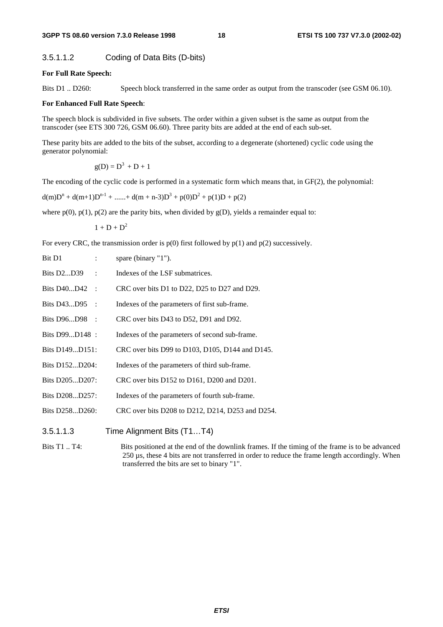### 3.5.1.1.2 Coding of Data Bits (D-bits)

#### **For Full Rate Speech:**

Bits D1 .. D260: Speech block transferred in the same order as output from the transcoder (see GSM 06.10).

#### **For Enhanced Full Rate Speech**:

The speech block is subdivided in five subsets. The order within a given subset is the same as output from the transcoder (see ETS 300 726, GSM 06.60). Three parity bits are added at the end of each sub-set.

These parity bits are added to the bits of the subset, according to a degenerate (shortened) cyclic code using the generator polynomial:

 $g(D) = D<sup>3</sup> + D + 1$ 

The encoding of the cyclic code is performed in a systematic form which means that, in GF(2), the polynomial:

 $d(m)D^{n} + d(m+1)D^{n-1} + \dots + d(m+n-3)D^{3} + p(0)D^{2} + p(1)D + p(2)$ 

where  $p(0)$ ,  $p(1)$ ,  $p(2)$  are the parity bits, when divided by  $g(D)$ , yields a remainder equal to:

 $1 + D + D<sup>2</sup>$ 

For every CRC, the transmission order is  $p(0)$  first followed by  $p(1)$  and  $p(2)$  successively.

| Bit D1<br>$\mathbb{R}^{n}$    | spare (binary "1").                                                                                                                                                                                                                                                                           |
|-------------------------------|-----------------------------------------------------------------------------------------------------------------------------------------------------------------------------------------------------------------------------------------------------------------------------------------------|
| Bits D2D39 :                  | Indexes of the LSF submatrices.                                                                                                                                                                                                                                                               |
| Bits D40D42 :                 | CRC over bits D1 to D22, D25 to D27 and D29.                                                                                                                                                                                                                                                  |
| Bits D43D95 :                 | Indexes of the parameters of first sub-frame.                                                                                                                                                                                                                                                 |
| Bits D96D98 :                 | CRC over bits D43 to D52, D91 and D92.                                                                                                                                                                                                                                                        |
| Bits D99D148 :                | Indexes of the parameters of second sub-frame.                                                                                                                                                                                                                                                |
| Bits D149D151:                | CRC over bits D99 to D103, D105, D144 and D145.                                                                                                                                                                                                                                               |
| Bits D152D204:                | Indexes of the parameters of third sub-frame.                                                                                                                                                                                                                                                 |
| Bits D205D207:                | CRC over bits D152 to D161, D200 and D201.                                                                                                                                                                                                                                                    |
| Bits D208D257:                | Indexes of the parameters of fourth sub-frame.                                                                                                                                                                                                                                                |
| Bits D258D260:                | CRC over bits D208 to D212, D214, D253 and D254.                                                                                                                                                                                                                                              |
| 3.5.1.1.3                     | Time Alignment Bits (T1T4)                                                                                                                                                                                                                                                                    |
| $\mathbf{D}$ . $\mathbf{m}$ . | $\ddot{ }$ . $\ddot{ }$ . $\ddot{ }$ . $\ddot{ }$ . $\ddot{ }$ . $\ddot{ }$ . $\ddot{ }$ . $\ddot{ }$ . $\ddot{ }$ . $\ddot{ }$ . $\ddot{ }$ . $\ddot{ }$ . $\ddot{ }$ . $\ddot{ }$ . $\ddot{ }$ . $\ddot{ }$ . $\ddot{ }$ . $\ddot{ }$ . $\ddot{ }$ . $\ddot{ }$ . $\ddot{ }$ . $\ddot{ }$ . |

Bits T1 .. T4: Bits positioned at the end of the downlink frames. If the timing of the frame is to be advanced 250 µs, these 4 bits are not transferred in order to reduce the frame length accordingly. When transferred the bits are set to binary "1".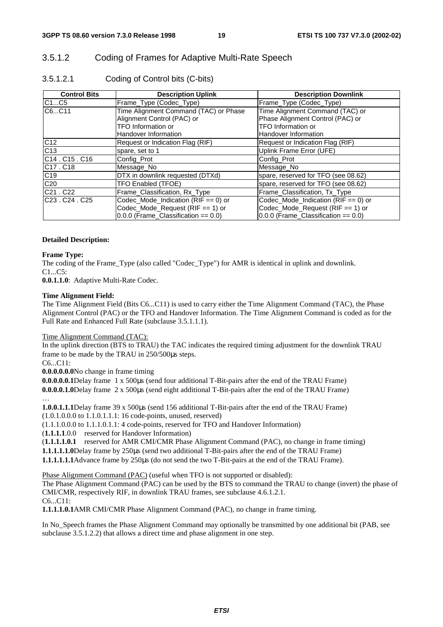### 3.5.1.2 Coding of Frames for Adaptive Multi-Rate Speech

| 3.5.1.2.1 | Coding of Control bits (C-bits) |  |
|-----------|---------------------------------|--|
|           |                                 |  |

| <b>Control Bits</b>               | <b>Description Uplink</b>                | <b>Description Downlink</b>              |
|-----------------------------------|------------------------------------------|------------------------------------------|
| C1C5                              | Frame Type (Codec Type)                  | Frame_Type (Codec_Type)                  |
| C6C11                             | Time Alignment Command (TAC) or Phase    | Time Alignment Command (TAC) or          |
|                                   | Alignment Control (PAC) or               | Phase Alignment Control (PAC) or         |
|                                   | TFO Information or                       | <b>TFO Information or</b>                |
|                                   | <b>Handover Information</b>              | Handover Information                     |
| C <sub>12</sub>                   | Request or Indication Flag (RIF)         | Request or Indication Flag (RIF)         |
| C13                               | spare, set to 1                          | Uplink Frame Error (UFE)                 |
| IC14 . C15 . C16                  | Config Prot                              | Config Prot                              |
| C17. C18                          | Message No                               | Message No                               |
| C19                               | DTX in downlink requested (DTXd)         | spare, reserved for TFO (see 08.62)      |
| C <sub>20</sub>                   | TFO Enabled (TFOE)                       | spare, reserved for TFO (see 08.62)      |
| C <sub>21</sub> . C <sub>22</sub> | Frame_Classification, Rx_Type            | Frame Classification, Tx Type            |
| C23 . C24 . C25                   | Codec_Mode_Indication ( $RIF == 0$ ) or  | Codec_Mode_Indication (RIF == 0) or      |
|                                   | Codec_Mode_Request (RIF == 1) or         | Codec_Mode_Request (RIF == 1) or         |
|                                   | $0.0.0$ (Frame_Classification == $0.0$ ) | $0.0.0$ (Frame_Classification == $0.0$ ) |

#### **Detailed Description:**

#### **Frame Type:**

The coding of the Frame\_Type (also called "Codec\_Type") for AMR is identical in uplink and downlink. C1...C5:

**0.0.1.1.0**: Adaptive Multi-Rate Codec.

#### **Time Alignment Field:**

The Time Alignment Field (Bits C6...C11) is used to carry either the Time Alignment Command (TAC), the Phase Alignment Control (PAC) or the TFO and Handover Information. The Time Alignment Command is coded as for the Full Rate and Enhanced Full Rate (subclause 3.5.1.1.1).

Time Alignment Command (TAC):

In the uplink direction (BTS to TRAU) the TAC indicates the required timing adjustment for the downlink TRAU frame to be made by the TRAU in 250/500µs steps.

C6...C11:

**0.0.0.0.0.0** No change in frame timing

**0.0.0.0.0.1** Delay frame 1 x 500µs (send four additional T-Bit-pairs after the end of the TRAU Frame) **0.0.0.0.1.0** Delay frame 2 x 500µs (send eight additional T-Bit-pairs after the end of the TRAU Frame) …

**1.0.0.1.1.1** Delay frame 39 x 500µs (send 156 additional T-Bit-pairs after the end of the TRAU Frame) (1.0.1.0.0.0 to 1.1.0.1.1.1: 16 code-points, unused, reserved)

(1.1.1.0.0.0 to 1.1.1.0.1.1: 4 code-points, reserved for TFO and Handover Information)

(**1.1.1.1**.0.0 reserved for Handover Information)

(**1.1.1.1.0.1** reserved for AMR CMI/CMR Phase Alignment Command (PAC), no change in frame timing)

**1.1.1.1.1.0** Delay frame by 250µs (send two additional T-Bit-pairs after the end of the TRAU Frame)

**1.1.1.1.1.1** Advance frame by 250µs (do not send the two T-Bit-pairs at the end of the TRAU Frame).

Phase Alignment Command (PAC) (useful when TFO is not supported or disabled):

The Phase Alignment Command (PAC) can be used by the BTS to command the TRAU to change (invert) the phase of CMI/CMR, respectively RIF, in downlink TRAU frames, see subclause 4.6.1.2.1. C6...C11:

**1.1.1.1.0.1** AMR CMI/CMR Phase Alignment Command (PAC), no change in frame timing.

In No\_Speech frames the Phase Alignment Command may optionally be transmitted by one additional bit (PAB, see subclause 3.5.1.2.2) that allows a direct time and phase alignment in one step.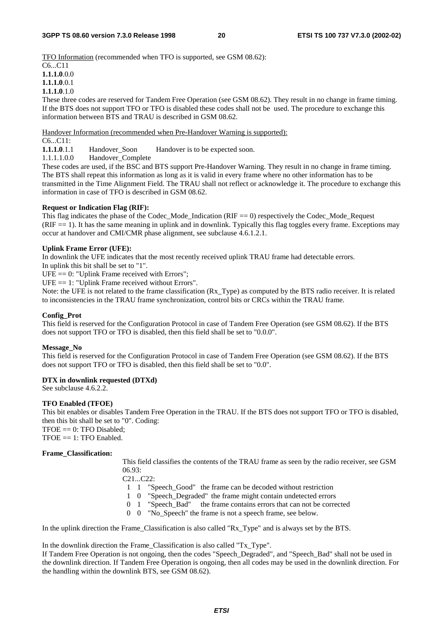TFO Information (recommended when TFO is supported, see GSM 08.62):

C6 C11 **1.1.1.0**.0.0 **1.1.1.0**.0.1

### **1.1.1.0**.1.0

These three codes are reserved for Tandem Free Operation (see GSM 08.62). They result in no change in frame timing. If the BTS does not support TFO or TFO is disabled these codes shall not be used. The procedure to exchange this information between BTS and TRAU is described in GSM 08.62.

Handover Information (recommended when Pre-Handover Warning is supported):

# $C6...C11:$ <br>1.1.1.0.1.1

**1.1.1.0**.1.1 Handover\_Soon Handover is to be expected soon.<br>1.1.1.1.0.0 Handover Complete

Handover\_Complete

These codes are used, if the BSC and BTS support Pre-Handover Warning. They result in no change in frame timing. The BTS shall repeat this information as long as it is valid in every frame where no other information has to be transmitted in the Time Alignment Field. The TRAU shall not reflect or acknowledge it. The procedure to exchange this information in case of TFO is described in GSM 08.62.

#### **Request or Indication Flag (RIF):**

This flag indicates the phase of the Codec\_Mode\_Indication (RIF == 0) respectively the Codec\_Mode\_Request  $(RIF == 1)$ . It has the same meaning in uplink and in downlink. Typically this flag toggles every frame. Exceptions may occur at handover and CMI/CMR phase alignment, see subclause 4.6.1.2.1.

#### **Uplink Frame Error (UFE):**

In downlink the UFE indicates that the most recently received uplink TRAU frame had detectable errors.

In uplink this bit shall be set to "1".

 $UFE = 0$ : "Uplink Frame received with Errors";

UFE == 1: "Uplink Frame received without Errors".

Note: the UFE is not related to the frame classification (Rx\_Type) as computed by the BTS radio receiver. It is related to inconsistencies in the TRAU frame synchronization, control bits or CRCs within the TRAU frame.

#### **Config\_Prot**

This field is reserved for the Configuration Protocol in case of Tandem Free Operation (see GSM 08.62). If the BTS does not support TFO or TFO is disabled, then this field shall be set to "0.0.0".

### **Message\_No**

This field is reserved for the Configuration Protocol in case of Tandem Free Operation (see GSM 08.62). If the BTS does not support TFO or TFO is disabled, then this field shall be set to "0.0".

### **DTX in downlink requested (DTXd)**

See subclause 4.6.2.2.

### **TFO Enabled (TFOE)**

This bit enables or disables Tandem Free Operation in the TRAU. If the BTS does not support TFO or TFO is disabled, then this bit shall be set to "0". Coding:  $TFOE == 0$ : TFO Disabled:

 $TFOE == 1: TFO Enabled.$ 

#### **Frame\_Classification:**

This field classifies the contents of the TRAU frame as seen by the radio receiver, see GSM 06.93:

C21...C22:

- 1 1 "Speech\_Good" the frame can be decoded without restriction
- 1 0 "Speech\_Degraded" the frame might contain undetected errors
- 0 1 "Speech\_Bad" the frame contains errors that can not be corrected
- 0 0 "No\_Speech" the frame is not a speech frame, see below.

In the uplink direction the Frame\_Classification is also called "Rx\_Type" and is always set by the BTS.

In the downlink direction the Frame\_Classification is also called "Tx\_Type".

If Tandem Free Operation is not ongoing, then the codes "Speech\_Degraded", and "Speech\_Bad" shall not be used in the downlink direction. If Tandem Free Operation is ongoing, then all codes may be used in the downlink direction. For the handling within the downlink BTS, see GSM 08.62).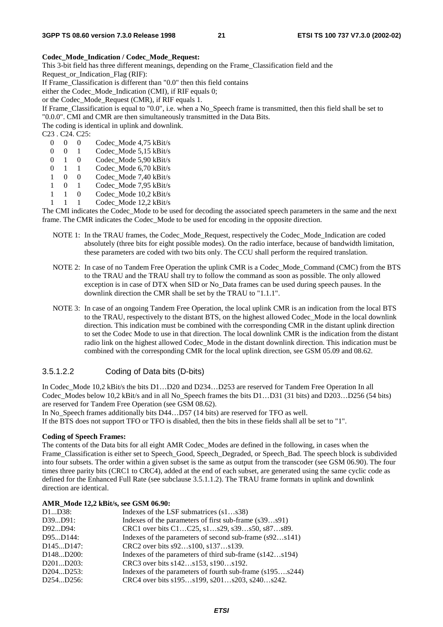#### **Codec\_Mode\_Indication / Codec\_Mode\_Request:**

This 3-bit field has three different meanings, depending on the Frame\_Classification field and the

Request\_or\_Indication\_Flag (RIF):

If Frame\_Classification is different than "0.0" then this field contains

either the Codec\_Mode\_Indication (CMI), if RIF equals 0;

or the Codec\_Mode\_Request (CMR), if RIF equals 1.

If Frame\_Classification is equal to "0.0", i.e. when a No\_Speech frame is transmitted, then this field shall be set to "0.0.0". CMI and CMR are then simultaneously transmitted in the Data Bits.

The coding is identical in uplink and downlink.

C23 . C24. C25:

- 0 0 0 Codec Mode 4,75 kBit/s
- 0 0 1 Codec\_Mode 5,15 kBit/s<br>0 1 0 Codec Mode 5.90 kBit/s
- 0 1 0 Codec\_Mode 5,90 kBit/s<br>0 1 1 Codec Mode 6 70 kBit/s
- 0 1 1 Codec Mode 6,70 kBit/s
- 1 0 0 Codec\_Mode 7,40 kBit/s
- 1 0 1 Codec\_Mode 7,95 kBit/s
- 1 1 0 Codec\_Mode 10,2 kBit/s
- 1 1 1 Codec\_Mode 12,2 kBit/s

The CMI indicates the Codec\_Mode to be used for decoding the associated speech parameters in the same and the next frame. The CMR indicates the Codec\_Mode to be used for encoding in the opposite direction.

- NOTE 1: In the TRAU frames, the Codec\_Mode\_Request, respectively the Codec\_Mode\_Indication are coded absolutely (three bits for eight possible modes). On the radio interface, because of bandwidth limitation, these parameters are coded with two bits only. The CCU shall perform the required translation.
- NOTE 2: In case of no Tandem Free Operation the uplink CMR is a Codec Mode Command (CMC) from the BTS to the TRAU and the TRAU shall try to follow the command as soon as possible. The only allowed exception is in case of DTX when SID or No\_Data frames can be used during speech pauses. In the downlink direction the CMR shall be set by the TRAU to "1.1.1".
- NOTE 3: In case of an ongoing Tandem Free Operation, the local uplink CMR is an indication from the local BTS to the TRAU, respectively to the distant BTS, on the highest allowed Codec\_Mode in the local downlink direction. This indication must be combined with the corresponding CMR in the distant uplink direction to set the Codec Mode to use in that direction. The local downlink CMR is the indication from the distant radio link on the highest allowed Codec\_Mode in the distant downlink direction. This indication must be combined with the corresponding CMR for the local uplink direction, see GSM 05.09 and 08.62.

### 3.5.1.2.2 Coding of Data bits (D-bits)

In Codec\_Mode 10,2 kBit/s the bits D1…D20 and D234…D253 are reserved for Tandem Free Operation In all Codec\_Modes below 10,2 kBit/s and in all No\_Speech frames the bits D1…D31 (31 bits) and D203…D256 (54 bits) are reserved for Tandem Free Operation (see GSM 08.62).

In No Speech frames additionally bits D44…D57 (14 bits) are reserved for TFO as well.

If the BTS does not support TFO or TFO is disabled, then the bits in these fields shall all be set to "1".

#### **Coding of Speech Frames:**

The contents of the Data bits for all eight AMR Codec\_Modes are defined in the following, in cases when the Frame\_Classification is either set to Speech\_Good, Speech\_Degraded, or Speech\_Bad. The speech block is subdivided into four subsets. The order within a given subset is the same as output from the transcoder (see GSM 06.90). The four times three parity bits (CRC1 to CRC4), added at the end of each subset, are generated using the same cyclic code as defined for the Enhanced Full Rate (see subclause 3.5.1.1.2). The TRAU frame formats in uplink and downlink direction are identical.

#### **AMR\_Mode 12,2 kBit/s, see GSM 06.90:**

| D1D38:                              | Indexes of the LSF submatrices $(s1s38)$                 |
|-------------------------------------|----------------------------------------------------------|
| D39D91:                             | Indexes of the parameters of first sub-frame (s39s91)    |
| D92D94:                             | CRC1 over bits C1C25, s1s29, s39s50, s87s89.             |
| D95D144:                            | Indexes of the parameters of second sub-frame (s92s141)  |
| D <sub>145</sub> D <sub>147</sub> : | CRC2 over bits s92s100, s137s139.                        |
| D <sub>148</sub> D <sub>200</sub> : | Indexes of the parameters of third sub-frame (s142s194)  |
| D201D203:                           | CRC3 over bits s142s153, s190s192.                       |
| D204D253:                           | Indexes of the parameters of fourth sub-frame (s195s244) |
| D254D256:                           | CRC4 over bits s195s199, s201s203, s240s242.             |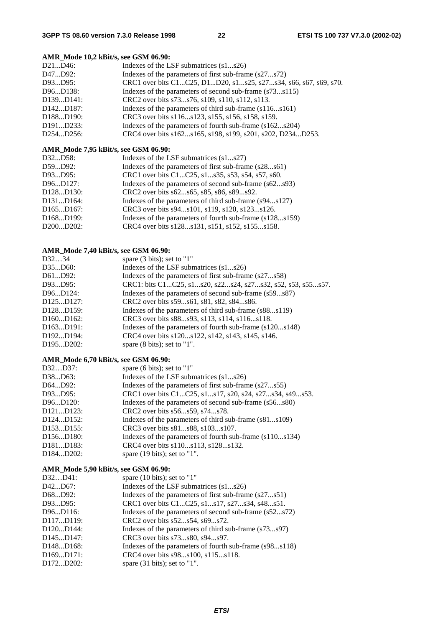#### **AMR\_Mode 10,2 kBit/s, see GSM 06.90:**

| D21D46:                             | Indexes of the LSF submatrices (s1s26)                          |
|-------------------------------------|-----------------------------------------------------------------|
| D47D92:                             | Indexes of the parameters of first sub-frame (s27s72)           |
| D93D95:                             | CRC1 over bits C1C25, D1D20, s1s25, s27s34, s66, s67, s69, s70. |
| D96D138:                            | Indexes of the parameters of second sub-frame (s73s115)         |
| D <sub>139</sub> D <sub>141</sub> : | CRC2 over bits s73s76, s109, s110, s112, s113.                  |
| D <sub>142</sub> D <sub>187</sub> : | Indexes of the parameters of third sub-frame (s116s161)         |
| D <sub>188</sub> D <sub>190</sub> : | CRC3 over bits s116s123, s155, s156, s158, s159.                |
| D <sub>191</sub> D <sub>233</sub> : | Indexes of the parameters of fourth sub-frame (s162s204)        |
| D254D256:                           | CRC4 over bits s162s165, s198, s199, s201, s202, D234D253.      |
|                                     |                                                                 |

#### **AMR\_Mode 7,95 kBit/s, see GSM 06.90:**

| D32D58:                             | Indexes of the LSF submatrices (s1s27)                   |
|-------------------------------------|----------------------------------------------------------|
| D59D92:                             | Indexes of the parameters of first sub-frame (s28s61)    |
| D93D95:                             | CRC1 over bits C1C25, s1s35, s53, s54, s57, s60.         |
| D96D127:                            | Indexes of the parameters of second sub-frame (s62s93)   |
| D <sub>128</sub> D <sub>130</sub> : | CRC2 over bits s62s65, s85, s86, s89s92.                 |
| D <sub>131</sub> D <sub>164</sub> : | Indexes of the parameters of third sub-frame (s94s127)   |
| D165D167:                           | CRC3 over bits s94s101, s119, s120, s123s126.            |
| D <sub>168</sub> D <sub>199</sub> : | Indexes of the parameters of fourth sub-frame (s128s159) |
| D200D202:                           | CRC4 over bits s128s131, s151, s152, s155s158.           |

### **AMR\_Mode 7,40 kBit/s, see GSM 06.90:**

| D3234                               | spare $(3 \text{ bits})$ ; set to "1"                      |
|-------------------------------------|------------------------------------------------------------|
| D35D60:                             | Indexes of the LSF submatrices (s1s26)                     |
| D61D92:                             | Indexes of the parameters of first sub-frame (s27s58)      |
| D93D95:                             | CRC1: bits C1C25, s1s20, s22s24, s27s32, s52, s53, s55s57. |
| D96D124:                            | Indexes of the parameters of second sub-frame (s59s87)     |
| D <sub>125</sub> D <sub>127</sub> : | CRC2 over bits s59s61, s81, s82, s84s86.                   |
| D <sub>128</sub> D <sub>159</sub> : | Indexes of the parameters of third sub-frame (s88s119)     |
| D160D162:                           | CRC3 over bits s88s93, s113, s114, s116s118.               |
| D163D191:                           | Indexes of the parameters of fourth sub-frame (s120s148)   |
| D <sub>192</sub> D <sub>194</sub> : | CRC4 over bits s120s122, s142, s143, s145, s146.           |
| D <sub>195</sub> D <sub>202</sub> : | spare $(8 \text{ bits})$ ; set to "1".                     |

### **AMR\_Mode 6,70 kBit/s, see GSM 06.90:**

| D32D37:                             | spare (6 bits); set to " $1$ "                           |
|-------------------------------------|----------------------------------------------------------|
| D38D63:                             | Indexes of the LSF submatrices $(s1s26)$                 |
| D64D92:                             | Indexes of the parameters of first sub-frame (s27s55)    |
| D93D95:                             | CRC1 over bits C1C25, s1s17, s20, s24, s27s34, s49s53.   |
| D96D120:                            | Indexes of the parameters of second sub-frame (s56s80)   |
| D <sub>121</sub> D <sub>123</sub> : | CRC2 over bits s56s59, s74s78.                           |
| D <sub>124</sub> D <sub>152</sub> : | Indexes of the parameters of third sub-frame (s81s109)   |
| D153D155:                           | CRC3 over bits s81s88, s103s107.                         |
| D <sub>156</sub> D <sub>180</sub> : | Indexes of the parameters of fourth sub-frame (s110s134) |
| D <sub>181</sub> D <sub>183</sub> : | CRC4 over bits s110s113, s128s132.                       |
| D <sub>184</sub> D <sub>202</sub> : | spare $(19 \text{ bits})$ ; set to "1".                  |

### **AMR\_Mode 5,90 kBit/s, see GSM 06.90:**

| spare $(10 \text{ bits})$ ; set to "1"                  |
|---------------------------------------------------------|
| Indexes of the LSF submatrices (s1s26)                  |
| Indexes of the parameters of first sub-frame (s27s51)   |
| CRC1 over bits C1C25, s1s17, s27s34, s48s51.            |
| Indexes of the parameters of second sub-frame (s52s72)  |
| CRC2 over bits s52s54, s69s72.                          |
| Indexes of the parameters of third sub-frame (s73s97)   |
| CRC3 over bits s73s80, s94s97.                          |
| Indexes of the parameters of fourth sub-frame (s98s118) |
| CRC4 over bits s98s100, s115s118.                       |
| spare $(31 \text{ bits})$ ; set to "1".                 |
|                                                         |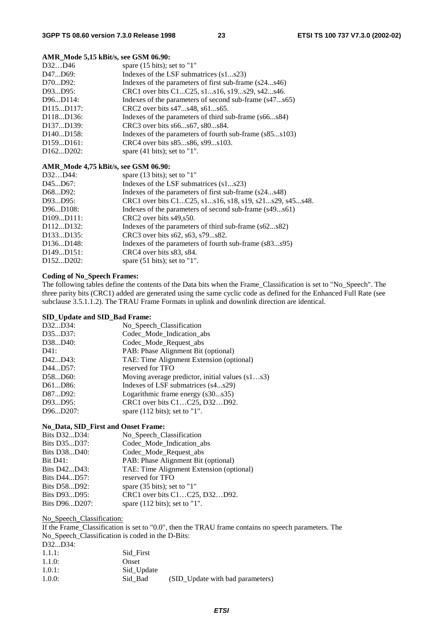#### **AMR\_Mode 5,15 kBit/s, see GSM 06.90:**

| D32D46                              | spare $(15 \text{ bits})$ ; set to "1"                  |
|-------------------------------------|---------------------------------------------------------|
| D47D69:                             | Indexes of the LSF submatrices (s1s23)                  |
| D70D92:                             | Indexes of the parameters of first sub-frame (s24s46)   |
| D93D95:                             | CRC1 over bits C1C25, s1s16, s19s29, s42s46.            |
| D96D114:                            | Indexes of the parameters of second sub-frame (s47s65)  |
| D115D117:                           | CRC2 over bits s47s48, s61s65.                          |
| D <sub>118</sub> D <sub>136</sub> : | Indexes of the parameters of third sub-frame (s66s84)   |
| D <sub>137</sub> D <sub>139</sub> : | CRC3 over bits s66s67, s80s84.                          |
| D <sub>140</sub> D <sub>158</sub> : | Indexes of the parameters of fourth sub-frame (s85s103) |
| D159D161:                           | CRC4 over bits s85s86, s99s103.                         |
| D <sub>162</sub> D <sub>202</sub> : | spare $(41 \text{ bits})$ ; set to "1".                 |
|                                     |                                                         |

### **AMR\_Mode 4,75 kBit/s, see GSM 06.90:**

| D32D44:                             | spare $(13 \text{ bits})$ ; set to "1"                 |
|-------------------------------------|--------------------------------------------------------|
| D45D67:                             | Indexes of the LSF submatrices (s1s23)                 |
| D68D92:                             | Indexes of the parameters of first sub-frame (s24s48)  |
| D93D95:                             | CRC1 over bits C1C25, s1s16, s18, s19, s21s29, s45s48. |
| D96D108:                            | Indexes of the parameters of second sub-frame (s49s61) |
| D109D111:                           | CRC2 over bits s49, s50.                               |
| D112D132:                           | Indexes of the parameters of third sub-frame (s62s82)  |
| D <sub>133</sub> D <sub>135</sub> : | CRC3 over bits s62, s63, s79s82.                       |
| D <sub>136</sub> D <sub>148</sub> : | Indexes of the parameters of fourth sub-frame (s83s95) |
| D149D151:                           | CRC4 over bits s83, s84.                               |
| D <sub>152</sub> D <sub>202</sub> : | spare $(51 \text{ bits})$ ; set to "1".                |

#### **Coding of No\_Speech Frames:**

The following tables define the contents of the Data bits when the Frame\_Classification is set to "No\_Speech". The three parity bits (CRC1) added are generated using the same cyclic code as defined for the Enhanced Full Rate (see subclause 3.5.1.1.2). The TRAU Frame Formats in uplink and downlink direction are identical.

#### **SID\_Update and SID\_Bad Frame:**

| D32D34:  | No_Speech_Classification                          |
|----------|---------------------------------------------------|
| D35D37:  | Codec_Mode_Indication_abs                         |
| D38D40:  | Codec_Mode_Request_abs                            |
| D41:     | PAB: Phase Alignment Bit (optional)               |
| D42D43:  | TAE: Time Alignment Extension (optional)          |
| D44D57:  | reserved for TFO                                  |
| D58D60:  | Moving average predictor, initial values $(s1s3)$ |
| D61D86:  | Indexes of LSF submatrices (s4s29)                |
| D87D92:  | Logarithmic frame energy (s30s35)                 |
| D93D95:  | CRC1 over bits C1C25, D32D92.                     |
| D96D207: | spare $(112 \text{ bits})$ ; set to "1".          |

#### **No\_Data, SID\_First and Onset Frame:**

| Bits D32D34:    | No_Speech_Classification                 |
|-----------------|------------------------------------------|
| Bits D35D37:    | Codec Mode_Indication_abs                |
| Bits D38D40:    | Codec_Mode_Request_abs                   |
| <b>Bit D41:</b> | PAB: Phase Alignment Bit (optional)      |
| Bits D42D43:    | TAE: Time Alignment Extension (optional) |
| Bits D44D57:    | reserved for TFO                         |
| Bits D58D92:    | spare $(35 \text{ bits})$ ; set to "1"   |
| Bits D93D95:    | CRC1 over bits C1C25, D32D92.            |
| Bits D96D207:   | spare $(112 \text{ bits})$ ; set to "1". |

No Speech Classification:

If the Frame\_Classification is set to "0.0", then the TRAU frame contains no speech parameters. The No\_Speech\_Classification is coded in the D-Bits: D32...D34: 1.1.1: Sid\_First 1.1.0: Onset

| 1.0.1:    | Sid_Update |                                  |
|-----------|------------|----------------------------------|
| $1.0.0$ : | Sid Bad    | (SID_Update with bad parameters) |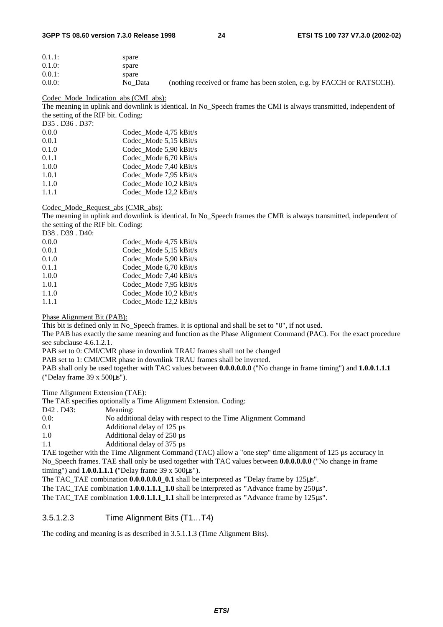#### **3GPP TS 08.60 version 7.3.0 Release 1998 24 ETSI TS 100 737 V7.3.0 (2002-02)**

| $0.1.1$ : | spare   |                                                                        |
|-----------|---------|------------------------------------------------------------------------|
| $0.1.0$ : | spare   |                                                                        |
| $0.0.1$ : | spare   |                                                                        |
| $0.0.0$ : | No Data | (nothing received or frame has been stolen, e.g. by FACCH or RATSCCH). |

#### Codec\_Mode\_Indication\_abs (CMI\_abs):

The meaning in uplink and downlink is identical. In No\_Speech frames the CMI is always transmitted, independent of the setting of the RIF bit. Coding:

D35 . D36 . D37:

| 0.0.0 | Codec Mode 4,75 kBit/s |
|-------|------------------------|
| 0.0.1 | Codec Mode 5,15 kBit/s |
| 0.1.0 | Codec Mode 5,90 kBit/s |
| 0.1.1 | Codec Mode 6,70 kBit/s |
| 1.0.0 | Codec Mode 7,40 kBit/s |
| 1.0.1 | Codec Mode 7,95 kBit/s |
| 1.1.0 | Codec Mode 10.2 kBit/s |
| 1.1.1 | Codec Mode 12,2 kBit/s |
|       |                        |

#### Codec\_Mode\_Request\_abs (CMR\_abs):

The meaning in uplink and downlink is identical. In No\_Speech frames the CMR is always transmitted, independent of the setting of the RIF bit. Coding:

| D38.D39.D40: |                        |
|--------------|------------------------|
| 0.0.0        | Codec Mode 4,75 kBit/s |
| 0.0.1        | Codec Mode 5,15 kBit/s |
| 0.1.0        | Codec Mode 5,90 kBit/s |
| 0.1.1        | Codec Mode 6,70 kBit/s |
| 1.0.0        | Codec Mode 7.40 kBit/s |
| 1.0.1        | Codec Mode 7.95 kBit/s |
| 1.1.0        | Codec Mode 10,2 kBit/s |
| 1.1.1        | Codec Mode 12,2 kBit/s |
|              |                        |

#### Phase Alignment Bit (PAB):

This bit is defined only in No Speech frames. It is optional and shall be set to "0", if not used.

The PAB has exactly the same meaning and function as the Phase Alignment Command (PAC). For the exact procedure see subclause 4.6.1.2.1.

PAB set to 0: CMI/CMR phase in downlink TRAU frames shall not be changed

PAB set to 1: CMI/CMR phase in downlink TRAU frames shall be inverted.

PAB shall only be used together with TAC values between **0.0.0.0.0.0** ("No change in frame timing") and **1.0.0.1.1.1**  ("Delay frame 39 x 500µs").

#### Time Alignment Extension (TAE):

The TAE specifies optionally a Time Alignment Extension. Coding:

D<sub>42</sub> . D<sub>43</sub>: Meaning:

- 0.0: No additional delay with respect to the Time Alignment Command
- 0.1 Additional delay of 125 µs<br>1.0 Additional delay of 250 µs
- Additional delay of  $250 \,\mu s$
- 1.1 Additional delay of 375 µs

TAE together with the Time Alignment Command (TAC) allow a "one step" time alignment of 125 µs accuracy in No\_Speech frames. TAE shall only be used together with TAC values between **0.0.0.0.0.0** ("No change in frame timing") and **1.0.0.1.1.1 (**"Delay frame 39 x 500µs").

The TAC\_TAE combination **0.0.0.0.0.0\_0.1** shall be interpreted as **"**Delay frame by 125µs".

The TAC\_TAE combination **1.0.0.1.1.1\_1.0** shall be interpreted as **"**Advance frame by 250µs".

The TAC\_TAE combination **1.0.0.1.1.1\_1.1** shall be interpreted as **"**Advance frame by 125µs".

### 3.5.1.2.3 Time Alignment Bits (T1…T4)

The coding and meaning is as described in 3.5.1.1.3 (Time Alignment Bits).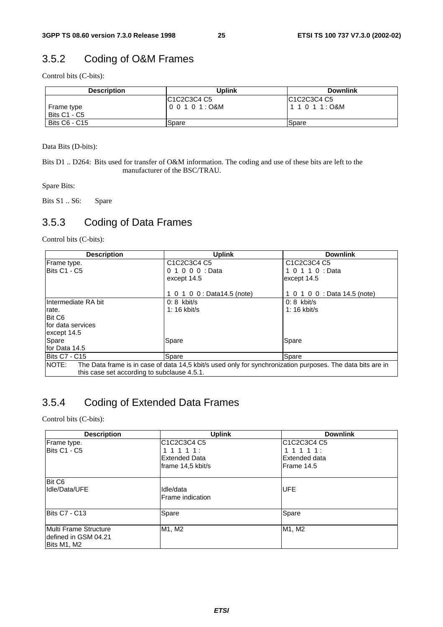# 3.5.2 Coding of O&M Frames

Control bits (C-bits):

| <b>Description</b>  | <b>Uplink</b> | <b>Downlink</b> |
|---------------------|---------------|-----------------|
|                     | IC1C2C3C4 C5  | IC1C2C3C4 C5    |
| Frame type          | l00101:O&M    |                 |
| <b>Bits C1 - C5</b> |               |                 |
| Bits C6 - C15       | Spare         | <b>Spare</b>    |

Data Bits (D-bits):

Bits D1 .. D264: Bits used for transfer of O&M information. The coding and use of these bits are left to the manufacturer of the BSC/TRAU.

Spare Bits:

Bits S1 .. S6: Spare

### 3.5.3 Coding of Data Frames

Control bits (C-bits):

| <b>Description</b>                          | <b>Uplink</b>                                                                                              | <b>Downlink</b>              |
|---------------------------------------------|------------------------------------------------------------------------------------------------------------|------------------------------|
| Frame type.                                 | C <sub>1</sub> C <sub>2</sub> C <sub>3</sub> C <sub>4</sub> C <sub>5</sub>                                 | C1C2C3C4 C5                  |
| Bits C1 - C5                                | 0 1 0 0 0 : Data                                                                                           | 1 0 1 1 0 : Data             |
|                                             | except 14.5                                                                                                | except 14.5                  |
|                                             |                                                                                                            |                              |
|                                             | 1 0 1 0 0 : Data14.5 (note)                                                                                | 1 0 1 0 0 : Data 14.5 (note) |
| Intermediate RA bit                         | $0:8$ kbit/s                                                                                               | $0:8$ kbit/s                 |
| rate.                                       | 1: 16 kbit/s                                                                                               | 1: 16 kbit/s                 |
| Bit C6                                      |                                                                                                            |                              |
| Ifor data services                          |                                                                                                            |                              |
| except 14.5                                 |                                                                                                            |                              |
| Spare                                       | Spare                                                                                                      | Spare                        |
| for Data 14.5                               |                                                                                                            |                              |
| <b>Bits C7 - C15</b>                        | Spare                                                                                                      | Spare                        |
| NOTE:                                       | The Data frame is in case of data 14,5 kbit/s used only for synchronization purposes. The data bits are in |                              |
| this case set according to subclause 4.5.1. |                                                                                                            |                              |

### 3.5.4 Coding of Extended Data Frames

Control bits (C-bits):

| <b>Description</b>                                                    | <b>Uplink</b>                                                              | <b>Downlink</b> |
|-----------------------------------------------------------------------|----------------------------------------------------------------------------|-----------------|
| Frame type.                                                           | C <sub>1</sub> C <sub>2</sub> C <sub>3</sub> C <sub>4</sub> C <sub>5</sub> | IC1C2C3C4 C5    |
| Bits C1 - C5                                                          | 111111:                                                                    | 111111:         |
|                                                                       | <b>Extended Data</b>                                                       | Extended data   |
|                                                                       | frame 14,5 kbit/s                                                          | lFrame 14.5     |
| Bit C <sub>6</sub>                                                    |                                                                            |                 |
| Idle/Data/UFE                                                         | Idle/data<br>Frame indication                                              | <b>UFE</b>      |
| Bits C7 - C13                                                         | Spare                                                                      | Spare           |
| <b>IMulti Frame Structure</b><br>Idefined in GSM 04.21<br>Bits M1, M2 | M1, M2                                                                     | M1, M2          |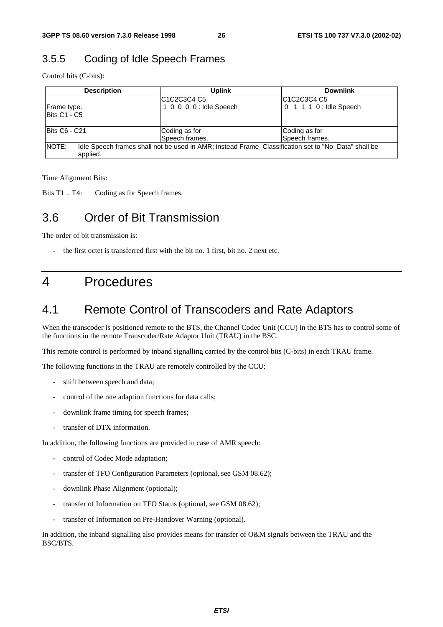### 3.5.5 Coding of Idle Speech Frames

Control bits (C-bits):

| <b>Description</b>   | <b>Uplink</b>           | <b>Downlink</b>                                                                                     |
|----------------------|-------------------------|-----------------------------------------------------------------------------------------------------|
|                      | C1C2C3C4 C5             | C <sub>1</sub> C <sub>2</sub> C <sub>3</sub> C <sub>4</sub> C <sub>5</sub>                          |
| Frame type.          | 1 0 0 0 0 : Idle Speech | 0 1 1 1 0 : Idle Speech                                                                             |
| <b>IBits C1 - C5</b> |                         |                                                                                                     |
|                      |                         |                                                                                                     |
| IBits C6 - C21       | Coding as for           | Coding as for                                                                                       |
|                      | Speech frames.          | Speech frames.                                                                                      |
| INOTE:<br>applied.   |                         | Idle Speech frames shall not be used in AMR; instead Frame_Classification set to "No_Data" shall be |

Time Alignment Bits:

Bits T1 .. T4: Coding as for Speech frames.

## 3.6 Order of Bit Transmission

The order of bit transmission is:

the first octet is transferred first with the bit no. 1 first, bit no. 2 next etc.

# 4 Procedures

## 4.1 Remote Control of Transcoders and Rate Adaptors

When the transcoder is positioned remote to the BTS, the Channel Codec Unit (CCU) in the BTS has to control some of the functions in the remote Transcoder/Rate Adaptor Unit (TRAU) in the BSC.

This remote control is performed by inband signalling carried by the control bits (C-bits) in each TRAU frame.

The following functions in the TRAU are remotely controlled by the CCU:

- shift between speech and data;
- control of the rate adaption functions for data calls;
- downlink frame timing for speech frames;
- transfer of DTX information.

In addition, the following functions are provided in case of AMR speech:

- control of Codec Mode adaptation;
- transfer of TFO Configuration Parameters (optional, see GSM 08.62);
- downlink Phase Alignment (optional);
- transfer of Information on TFO Status (optional, see GSM 08.62);
- transfer of Information on Pre-Handover Warning (optional).

In addition, the inband signalling also provides means for transfer of O&M signals between the TRAU and the BSC/BTS.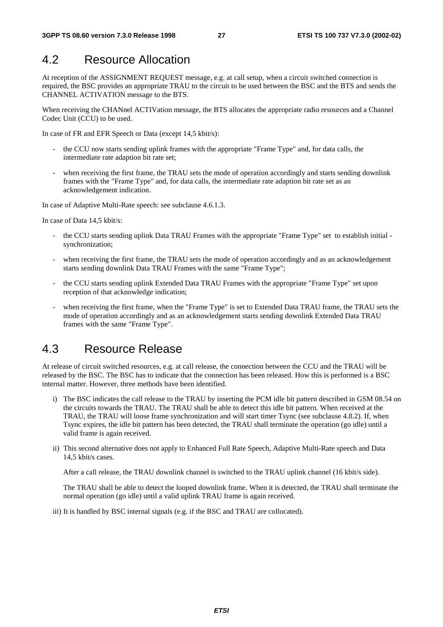## 4.2 Resource Allocation

At reception of the ASSIGNMENT REQUEST message, e.g. at call setup, when a circuit switched connection is required, the BSC provides an appropriate TRAU to the circuit to be used between the BSC and the BTS and sends the CHANNEL ACTIVATION message to the BTS.

When receiving the CHANnel ACTIVation message, the BTS allocates the appropriate radio resources and a Channel Codec Unit (CCU) to be used.

In case of FR and EFR Speech or Data (except 14,5 kbit/s):

- the CCU now starts sending uplink frames with the appropriate "Frame Type" and, for data calls, the intermediate rate adaption bit rate set;
- when receiving the first frame, the TRAU sets the mode of operation accordingly and starts sending downlink frames with the "Frame Type" and, for data calls, the intermediate rate adaption bit rate set as an acknowledgement indication.

In case of Adaptive Multi-Rate speech: see subclause 4.6.1.3.

In case of Data 14,5 kbit/s:

- the CCU starts sending uplink Data TRAU Frames with the appropriate "Frame Type" set to establish initial synchronization;
- when receiving the first frame, the TRAU sets the mode of operation accordingly and as an acknowledgement starts sending downlink Data TRAU Frames with the same "Frame Type";
- the CCU starts sending uplink Extended Data TRAU Frames with the appropriate "Frame Type" set upon reception of that acknowledge indication;
- when receiving the first frame, when the "Frame Type" is set to Extended Data TRAU frame, the TRAU sets the mode of operation accordingly and as an acknowledgement starts sending downlink Extended Data TRAU frames with the same "Frame Type".

## 4.3 Resource Release

At release of circuit switched resources, e.g. at call release, the connection between the CCU and the TRAU will be released by the BSC. The BSC has to indicate that the connection has been released. How this is performed is a BSC internal matter. However, three methods have been identified.

- i) The BSC indicates the call release to the TRAU by inserting the PCM idle bit pattern described in GSM 08.54 on the circuits towards the TRAU. The TRAU shall be able to detect this idle bit pattern. When received at the TRAU, the TRAU will loose frame synchronization and will start timer Tsync (see subclause 4.8.2). If, when Tsync expires, the idle bit pattern has been detected, the TRAU shall terminate the operation (go idle) until a valid frame is again received.
- ii) This second alternative does not apply to Enhanced Full Rate Speech, Adaptive Multi-Rate speech and Data 14,5 kbit/s cases.

After a call release, the TRAU downlink channel is switched to the TRAU uplink channel (16 kbit/s side).

 The TRAU shall be able to detect the looped downlink frame. When it is detected, the TRAU shall terminate the normal operation (go idle) until a valid uplink TRAU frame is again received.

iii) It is handled by BSC internal signals (e.g. if the BSC and TRAU are collocated).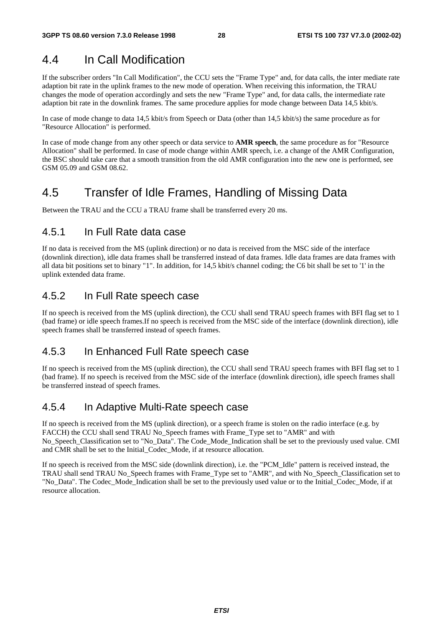# 4.4 In Call Modification

If the subscriber orders "In Call Modification", the CCU sets the "Frame Type" and, for data calls, the inter mediate rate adaption bit rate in the uplink frames to the new mode of operation. When receiving this information, the TRAU changes the mode of operation accordingly and sets the new "Frame Type" and, for data calls, the intermediate rate adaption bit rate in the downlink frames. The same procedure applies for mode change between Data 14,5 kbit/s.

In case of mode change to data 14,5 kbit/s from Speech or Data (other than 14,5 kbit/s) the same procedure as for "Resource Allocation" is performed.

In case of mode change from any other speech or data service to **AMR speech**, the same procedure as for "Resource Allocation" shall be performed. In case of mode change within AMR speech, i.e. a change of the AMR Configuration, the BSC should take care that a smooth transition from the old AMR configuration into the new one is performed, see GSM 05.09 and GSM 08.62.

# 4.5 Transfer of Idle Frames, Handling of Missing Data

Between the TRAU and the CCU a TRAU frame shall be transferred every 20 ms.

### 4.5.1 In Full Rate data case

If no data is received from the MS (uplink direction) or no data is received from the MSC side of the interface (downlink direction), idle data frames shall be transferred instead of data frames. Idle data frames are data frames with all data bit positions set to binary "1". In addition, for 14,5 kbit/s channel coding; the C6 bit shall be set to '1' in the uplink extended data frame.

### 4.5.2 In Full Rate speech case

If no speech is received from the MS (uplink direction), the CCU shall send TRAU speech frames with BFI flag set to 1 (bad frame) or idle speech frames.If no speech is received from the MSC side of the interface (downlink direction), idle speech frames shall be transferred instead of speech frames.

### 4.5.3 In Enhanced Full Rate speech case

If no speech is received from the MS (uplink direction), the CCU shall send TRAU speech frames with BFI flag set to 1 (bad frame). If no speech is received from the MSC side of the interface (downlink direction), idle speech frames shall be transferred instead of speech frames.

### 4.5.4 In Adaptive Multi-Rate speech case

If no speech is received from the MS (uplink direction), or a speech frame is stolen on the radio interface (e.g. by FACCH) the CCU shall send TRAU No\_Speech frames with Frame\_Type set to "AMR" and with No Speech Classification set to "No Data". The Code Mode Indication shall be set to the previously used value. CMI and CMR shall be set to the Initial\_Codec\_Mode, if at resource allocation.

If no speech is received from the MSC side (downlink direction), i.e. the "PCM\_Idle" pattern is received instead, the TRAU shall send TRAU No\_Speech frames with Frame\_Type set to "AMR", and with No\_Speech\_Classification set to "No\_Data". The Codec\_Mode\_Indication shall be set to the previously used value or to the Initial\_Codec\_Mode, if at resource allocation.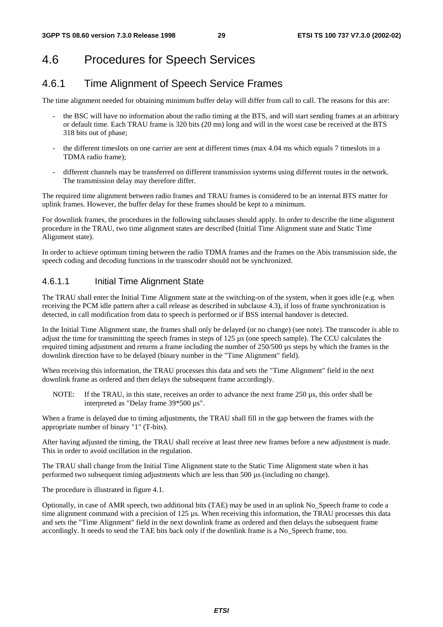# 4.6 Procedures for Speech Services

# 4.6.1 Time Alignment of Speech Service Frames

The time alignment needed for obtaining minimum buffer delay will differ from call to call. The reasons for this are:

- the BSC will have no information about the radio timing at the BTS, and will start sending frames at an arbitrary or default time. Each TRAU frame is 320 bits (20 ms) long and will in the worst case be received at the BTS 318 bits out of phase;
- the different timeslots on one carrier are sent at different times (max 4.04 ms which equals 7 timeslots in a TDMA radio frame);
- different channels may be transferred on different transmission systems using different routes in the network. The transmission delay may therefore differ.

The required time alignment between radio frames and TRAU frames is considered to be an internal BTS matter for uplink frames. However, the buffer delay for these frames should be kept to a minimum.

For downlink frames, the procedures in the following subclauses should apply. In order to describe the time alignment procedure in the TRAU, two time alignment states are described (Initial Time Alignment state and Static Time Alignment state).

In order to achieve optimum timing between the radio TDMA frames and the frames on the Abis transmission side, the speech coding and decoding functions in the transcoder should not be synchronized.

### 4.6.1.1 Initial Time Alignment State

The TRAU shall enter the Initial Time Alignment state at the switching-on of the system, when it goes idle (e.g. when receiving the PCM idle pattern after a call release as described in subclause 4.3), if loss of frame synchronization is detected, in call modification from data to speech is performed or if BSS internal handover is detected.

In the Initial Time Alignment state, the frames shall only be delayed (or no change) (see note). The transcoder is able to adjust the time for transmitting the speech frames in steps of 125 µs (one speech sample). The CCU calculates the required timing adjustment and returns a frame including the number of 250/500 µs steps by which the frames in the downlink direction have to be delayed (binary number in the "Time Alignment" field).

When receiving this information, the TRAU processes this data and sets the "Time Alignment" field in the next downlink frame as ordered and then delays the subsequent frame accordingly.

NOTE: If the TRAU, in this state, receives an order to advance the next frame 250 µs, this order shall be interpreted as "Delay frame 39\*500 µs".

When a frame is delayed due to timing adjustments, the TRAU shall fill in the gap between the frames with the appropriate number of binary "1" (T-bits).

After having adjusted the timing, the TRAU shall receive at least three new frames before a new adjustment is made. This in order to avoid oscillation in the regulation.

The TRAU shall change from the Initial Time Alignment state to the Static Time Alignment state when it has performed two subsequent timing adjustments which are less than 500 µs (including no change).

The procedure is illustrated in figure 4.1.

Optionally, in case of AMR speech, two additional bits (TAE) may be used in an uplink No\_Speech frame to code a time alignment command with a precision of 125 µs. When receiving this information, the TRAU processes this data and sets the "Time Alignment" field in the next downlink frame as ordered and then delays the subsequent frame accordingly. It needs to send the TAE bits back only if the downlink frame is a No\_Speech frame, too.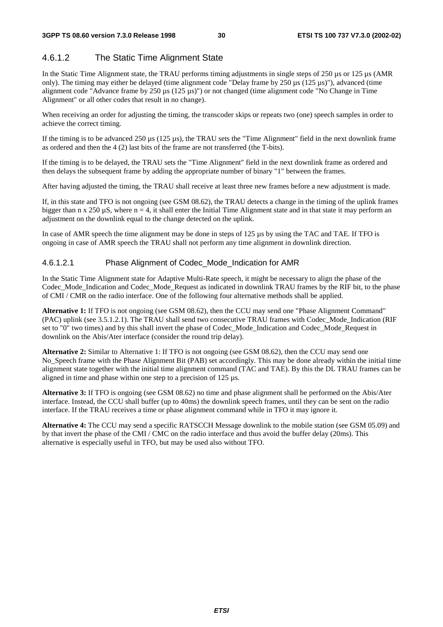### 4.6.1.2 The Static Time Alignment State

In the Static Time Alignment state, the TRAU performs timing adjustments in single steps of 250 µs or 125 µs (AMR only). The timing may either be delayed (time alignment code "Delay frame by 250 µs (125 µs)"), advanced (time alignment code "Advance frame by 250 µs (125 µs)") or not changed (time alignment code "No Change in Time Alignment" or all other codes that result in no change).

When receiving an order for adjusting the timing, the transcoder skips or repeats two (one) speech samples in order to achieve the correct timing.

If the timing is to be advanced  $250 \mu s$  (125  $\mu s$ ), the TRAU sets the "Time Alignment" field in the next downlink frame as ordered and then the 4 (2) last bits of the frame are not transferred (the T-bits).

If the timing is to be delayed, the TRAU sets the "Time Alignment" field in the next downlink frame as ordered and then delays the subsequent frame by adding the appropriate number of binary "1" between the frames.

After having adjusted the timing, the TRAU shall receive at least three new frames before a new adjustment is made.

If, in this state and TFO is not ongoing (see GSM 08.62), the TRAU detects a change in the timing of the uplink frames bigger than n x 250  $\mu$ S, where n = 4, it shall enter the Initial Time Alignment state and in that state it may perform an adjustment on the downlink equal to the change detected on the uplink.

In case of AMR speech the time alignment may be done in steps of 125 us by using the TAC and TAE. If TFO is ongoing in case of AMR speech the TRAU shall not perform any time alignment in downlink direction.

### 4.6.1.2.1 Phase Alignment of Codec\_Mode\_Indication for AMR

In the Static Time Alignment state for Adaptive Multi-Rate speech, it might be necessary to align the phase of the Codec\_Mode\_Indication and Codec\_Mode\_Request as indicated in downlink TRAU frames by the RIF bit, to the phase of CMI / CMR on the radio interface. One of the following four alternative methods shall be applied.

**Alternative 1:** If TFO is not ongoing (see GSM 08.62), then the CCU may send one "Phase Alignment Command" (PAC) uplink (see 3.5.1.2.1). The TRAU shall send two consecutive TRAU frames with Codec\_Mode\_Indication (RIF set to "0" two times) and by this shall invert the phase of Codec\_Mode\_Indication and Codec\_Mode\_Request in downlink on the Abis/Ater interface (consider the round trip delay).

**Alternative 2:** Similar to Alternative 1: If TFO is not ongoing (see GSM 08.62), then the CCU may send one No\_Speech frame with the Phase Alignment Bit (PAB) set accordingly. This may be done already within the initial time alignment state together with the initial time alignment command (TAC and TAE). By this the DL TRAU frames can be aligned in time and phase within one step to a precision of 125 µs.

**Alternative 3:** If TFO is ongoing (see GSM 08.62) no time and phase alignment shall be performed on the Abis/Ater interface. Instead, the CCU shall buffer (up to 40ms) the downlink speech frames, until they can be sent on the radio interface. If the TRAU receives a time or phase alignment command while in TFO it may ignore it.

**Alternative 4:** The CCU may send a specific RATSCCH Message downlink to the mobile station (see GSM 05.09) and by that invert the phase of the CMI / CMC on the radio interface and thus avoid the buffer delay (20ms). This alternative is especially useful in TFO, but may be used also without TFO.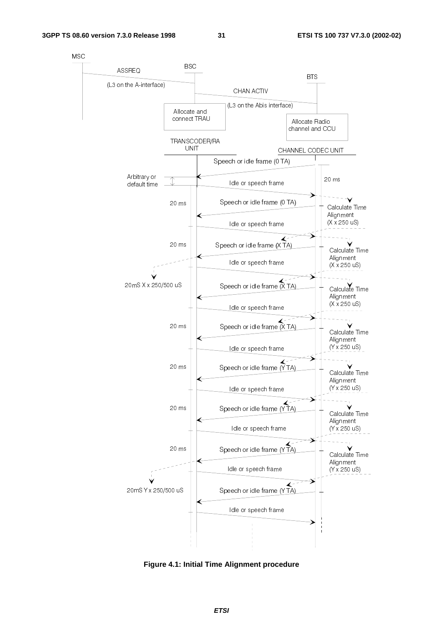$31$ 



Figure 4.1: Initial Time Alignment procedure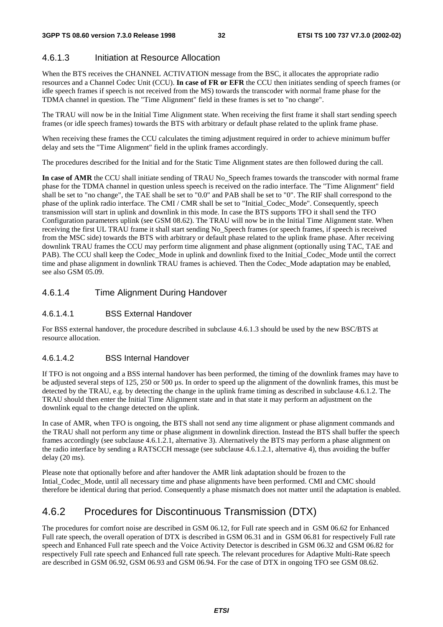### 4.6.1.3 Initiation at Resource Allocation

When the BTS receives the CHANNEL ACTIVATION message from the BSC, it allocates the appropriate radio resources and a Channel Codec Unit (CCU). **In case of FR or EFR** the CCU then initiates sending of speech frames (or idle speech frames if speech is not received from the MS) towards the transcoder with normal frame phase for the TDMA channel in question. The "Time Alignment" field in these frames is set to "no change".

The TRAU will now be in the Initial Time Alignment state. When receiving the first frame it shall start sending speech frames (or idle speech frames) towards the BTS with arbitrary or default phase related to the uplink frame phase.

When receiving these frames the CCU calculates the timing adjustment required in order to achieve minimum buffer delay and sets the "Time Alignment" field in the uplink frames accordingly.

The procedures described for the Initial and for the Static Time Alignment states are then followed during the call.

**In case of AMR** the CCU shall initiate sending of TRAU No\_Speech frames towards the transcoder with normal frame phase for the TDMA channel in question unless speech is received on the radio interface. The "Time Alignment" field shall be set to "no change", the TAE shall be set to "0.0" and PAB shall be set to "0". The RIF shall correspond to the phase of the uplink radio interface. The CMI / CMR shall be set to "Initial\_Codec\_Mode". Consequently, speech transmission will start in uplink and downlink in this mode. In case the BTS supports TFO it shall send the TFO Configuration parameters uplink (see GSM 08.62). The TRAU will now be in the Initial Time Alignment state. When receiving the first UL TRAU frame it shall start sending No\_Speech frames (or speech frames, if speech is received from the MSC side) towards the BTS with arbitrary or default phase related to the uplink frame phase. After receiving downlink TRAU frames the CCU may perform time alignment and phase alignment (optionally using TAC, TAE and PAB). The CCU shall keep the Codec\_Mode in uplink and downlink fixed to the Initial\_Codec\_Mode until the correct time and phase alignment in downlink TRAU frames is achieved. Then the Codec\_Mode adaptation may be enabled, see also GSM 05.09.

### 4.6.1.4 Time Alignment During Handover

### 4.6.1.4.1 BSS External Handover

For BSS external handover, the procedure described in subclause 4.6.1.3 should be used by the new BSC/BTS at resource allocation.

### 4.6.1.4.2 BSS Internal Handover

If TFO is not ongoing and a BSS internal handover has been performed, the timing of the downlink frames may have to be adjusted several steps of 125, 250 or 500 µs. In order to speed up the alignment of the downlink frames, this must be detected by the TRAU, e.g. by detecting the change in the uplink frame timing as described in subclause 4.6.1.2. The TRAU should then enter the Initial Time Alignment state and in that state it may perform an adjustment on the downlink equal to the change detected on the uplink.

In case of AMR, when TFO is ongoing, the BTS shall not send any time alignment or phase alignment commands and the TRAU shall not perform any time or phase alignment in downlink direction. Instead the BTS shall buffer the speech frames accordingly (see subclause 4.6.1.2.1, alternative 3). Alternatively the BTS may perform a phase alignment on the radio interface by sending a RATSCCH message (see subclause 4.6.1.2.1, alternative 4), thus avoiding the buffer delay (20 ms).

Please note that optionally before and after handover the AMR link adaptation should be frozen to the Intial\_Codec\_Mode, until all necessary time and phase alignments have been performed. CMI and CMC should therefore be identical during that period. Consequently a phase mismatch does not matter until the adaptation is enabled.

## 4.6.2 Procedures for Discontinuous Transmission (DTX)

The procedures for comfort noise are described in GSM 06.12, for Full rate speech and in GSM 06.62 for Enhanced Full rate speech, the overall operation of DTX is described in GSM 06.31 and in GSM 06.81 for respectively Full rate speech and Enhanced Full rate speech and the Voice Activity Detector is described in GSM 06.32 and GSM 06.82 for respectively Full rate speech and Enhanced full rate speech. The relevant procedures for Adaptive Multi-Rate speech are described in GSM 06.92, GSM 06.93 and GSM 06.94. For the case of DTX in ongoing TFO see GSM 08.62.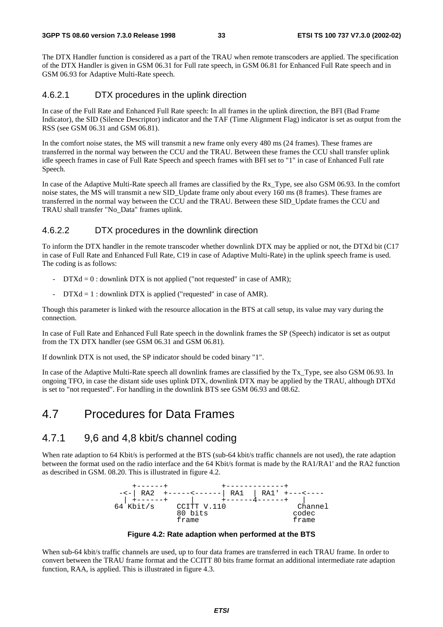The DTX Handler function is considered as a part of the TRAU when remote transcoders are applied. The specification of the DTX Handler is given in GSM 06.31 for Full rate speech, in GSM 06.81 for Enhanced Full Rate speech and in GSM 06.93 for Adaptive Multi-Rate speech.

### 4.6.2.1 DTX procedures in the uplink direction

In case of the Full Rate and Enhanced Full Rate speech: In all frames in the uplink direction, the BFI (Bad Frame Indicator), the SID (Silence Descriptor) indicator and the TAF (Time Alignment Flag) indicator is set as output from the RSS (see GSM 06.31 and GSM 06.81).

In the comfort noise states, the MS will transmit a new frame only every 480 ms (24 frames). These frames are transferred in the normal way between the CCU and the TRAU. Between these frames the CCU shall transfer uplink idle speech frames in case of Full Rate Speech and speech frames with BFI set to "1" in case of Enhanced Full rate Speech.

In case of the Adaptive Multi-Rate speech all frames are classified by the Rx\_Type, see also GSM 06.93. In the comfort noise states, the MS will transmit a new SID\_Update frame only about every 160 ms (8 frames). These frames are transferred in the normal way between the CCU and the TRAU. Between these SID\_Update frames the CCU and TRAU shall transfer "No\_Data" frames uplink.

### 4.6.2.2 DTX procedures in the downlink direction

To inform the DTX handler in the remote transcoder whether downlink DTX may be applied or not, the DTXd bit (C17 in case of Full Rate and Enhanced Full Rate, C19 in case of Adaptive Multi-Rate) in the uplink speech frame is used. The coding is as follows:

- $DTXd = 0$ : downlink DTX is not applied ("not requested" in case of AMR);
- $DTXd = 1$ : downlink DTX is applied ("requested" in case of AMR).

Though this parameter is linked with the resource allocation in the BTS at call setup, its value may vary during the connection.

In case of Full Rate and Enhanced Full Rate speech in the downlink frames the SP (Speech) indicator is set as output from the TX DTX handler (see GSM 06.31 and GSM 06.81).

If downlink DTX is not used, the SP indicator should be coded binary "1".

In case of the Adaptive Multi-Rate speech all downlink frames are classified by the Tx\_Type, see also GSM 06.93. In ongoing TFO, in case the distant side uses uplink DTX, downlink DTX may be applied by the TRAU, although DTXd is set to "not requested". For handling in the downlink BTS see GSM 06.93 and 08.62.

## 4.7 Procedures for Data Frames

### 4.7.1 9,6 and 4,8 kbit/s channel coding

When rate adaption to 64 Kbit/s is performed at the BTS (sub-64 kbit/s traffic channels are not used), the rate adaption between the format used on the radio interface and the 64 Kbit/s format is made by the RA1/RA1' and the RA2 function as described in GSM. 08.20. This is illustrated in figure 4.2.



**Figure 4.2: Rate adaption when performed at the BTS** 

When sub-64 kbit/s traffic channels are used, up to four data frames are transferred in each TRAU frame. In order to convert between the TRAU frame format and the CCITT 80 bits frame format an additional intermediate rate adaption function, RAA, is applied. This is illustrated in figure 4.3.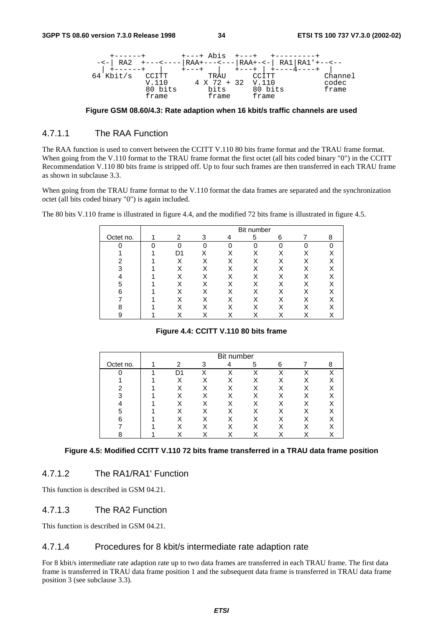

**Figure GSM 08.60/4.3: Rate adaption when 16 kbit/s traffic channels are used** 

### 4.7.1.1 The RAA Function

The RAA function is used to convert between the CCITT V.110 80 bits frame format and the TRAU frame format. When going from the V.110 format to the TRAU frame format the first octet (all bits coded binary "0") in the CCITT Recommendation V.110 80 bits frame is stripped off. Up to four such frames are then transferred in each TRAU frame as shown in subclause 3.3.

When going from the TRAU frame format to the V.110 format the data frames are separated and the synchronization octet (all bits coded binary "0") is again included.

The 80 bits V.110 frame is illustrated in figure 4.4, and the modified 72 bits frame is illustrated in figure 4.5.

|           | Bit number |          |          |          |          |          |   |
|-----------|------------|----------|----------|----------|----------|----------|---|
| Octet no. |            | 2        | 3        | 4        | 5        | 6        | 8 |
| n         | ∩          | $\Omega$ | $\Omega$ | $\Omega$ | $\Omega$ | $\Omega$ | ∩ |
|           |            | D1       |          |          | X        |          | X |
| Ω         |            |          | Χ        |          | X        |          | Χ |
| າ         |            |          | X        |          | X        |          | Χ |
|           |            |          | х        |          | Χ        |          | Χ |
| 5         |            | Χ        | Χ        |          | X        |          | Χ |
| 6         |            | Χ        | Χ        |          | X        |          | Χ |
|           |            |          | Χ        |          | X        |          | Χ |
| 8         |            |          | Χ        |          |          |          | Χ |
| 9         |            | ⋏        | ⋏        |          | ⋏        |          |   |

### **Figure 4.4: CCITT V.110 80 bits frame**

|           | Bit number |   |             |   |   |  |   |
|-----------|------------|---|-------------|---|---|--|---|
| Octet no. | 2          | 3 |             | 5 | 6 |  | 8 |
|           | D1         |   | $\check{ }$ | χ | χ |  | X |
|           | Χ          | Χ |             |   |   |  | Χ |
|           | Χ          | Χ | х           | X | Χ |  |   |
| ົ         |            |   |             |   |   |  |   |
|           |            | Χ |             |   |   |  |   |
| 5         |            | X | х           | X |   |  | Χ |
| ี         |            | х |             | X |   |  | X |
|           |            |   |             |   |   |  |   |
|           |            |   |             |   |   |  |   |

#### **Figure 4.5: Modified CCITT V.110 72 bits frame transferred in a TRAU data frame position**

### 4.7.1.2 The RA1/RA1' Function

This function is described in GSM 04.21.

### 4.7.1.3 The RA2 Function

This function is described in GSM 04.21.

### 4.7.1.4 Procedures for 8 kbit/s intermediate rate adaption rate

For 8 kbit/s intermediate rate adaption rate up to two data frames are transferred in each TRAU frame. The first data frame is transferred in TRAU data frame position 1 and the subsequent data frame is transferred in TRAU data frame position 3 (see subclause 3.3).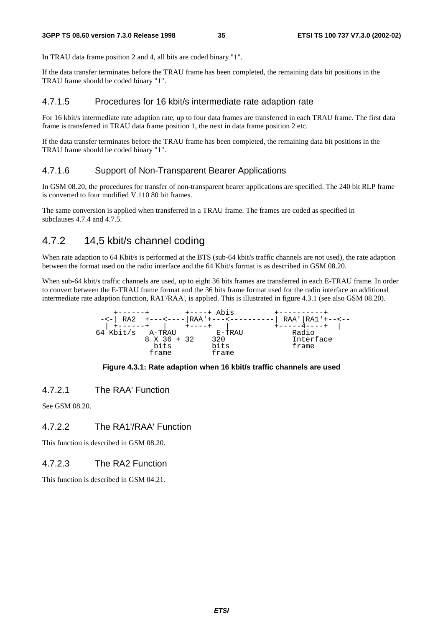In TRAU data frame position 2 and 4, all bits are coded binary "1".

If the data transfer terminates before the TRAU frame has been completed, the remaining data bit positions in the TRAU frame should be coded binary "1".

### 4.7.1.5 Procedures for 16 kbit/s intermediate rate adaption rate

For 16 kbit/s intermediate rate adaption rate, up to four data frames are transferred in each TRAU frame. The first data frame is transferred in TRAU data frame position 1, the next in data frame position 2 etc.

If the data transfer terminates before the TRAU frame has been completed, the remaining data bit positions in the TRAU frame should be coded binary "1".

### 4.7.1.6 Support of Non-Transparent Bearer Applications

In GSM 08.20, the procedures for transfer of non-transparent bearer applications are specified. The 240 bit RLP frame is converted to four modified V.110 80 bit frames.

The same conversion is applied when transferred in a TRAU frame. The frames are coded as specified in subclauses 4.7.4 and 4.7.5.

### 4.7.2 14,5 kbit/s channel coding

When rate adaption to 64 Kbit/s is performed at the BTS (sub-64 kbit/s traffic channels are not used), the rate adaption between the format used on the radio interface and the 64 Kbit/s format is as described in GSM 08.20.

When sub-64 kbit/s traffic channels are used, up to eight 36 bits frames are transferred in each E-TRAU frame. In order to convert between the E-TRAU frame format and the 36 bits frame format used for the radio interface an additional intermediate rate adaption function, RA1'/RAA', is applied. This is illustrated in figure 4.3.1 (see also GSM 08.20).



#### **Figure 4.3.1: Rate adaption when 16 kbit/s traffic channels are used**

4.7.2.1 The RAA' Function

See GSM 08.20.

### 4.7.2.2 The RA1'/RAA' Function

This function is described in GSM 08.20.

### 4.7.2.3 The RA2 Function

This function is described in GSM 04.21.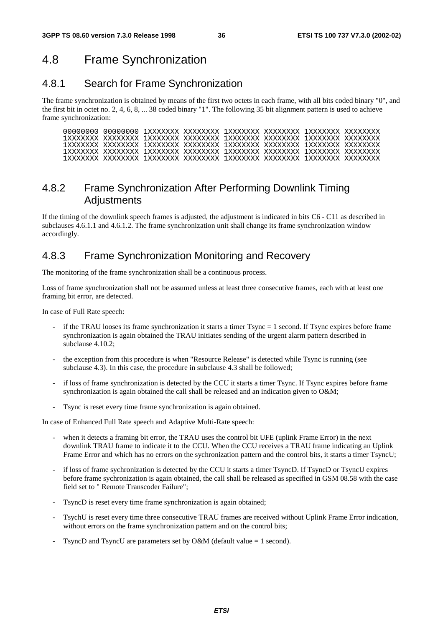## 4.8 Frame Synchronization

### 4.8.1 Search for Frame Synchronization

The frame synchronization is obtained by means of the first two octets in each frame, with all bits coded binary "0", and the first bit in octet no. 2, 4, 6, 8, ... 38 coded binary "1". The following 35 bit alignment pattern is used to achieve frame synchronization:

### 4.8.2 Frame Synchronization After Performing Downlink Timing **Adjustments**

If the timing of the downlink speech frames is adjusted, the adjustment is indicated in bits C6 - C11 as described in subclauses 4.6.1.1 and 4.6.1.2. The frame synchronization unit shall change its frame synchronization window accordingly.

### 4.8.3 Frame Synchronization Monitoring and Recovery

The monitoring of the frame synchronization shall be a continuous process.

Loss of frame synchronization shall not be assumed unless at least three consecutive frames, each with at least one framing bit error, are detected.

In case of Full Rate speech:

- if the TRAU looses its frame synchronization it starts a timer  $T<sub>sync</sub> = 1$  second. If  $T<sub>sync</sub>$  expires before frame synchronization is again obtained the TRAU initiates sending of the urgent alarm pattern described in subclause 4.10.2;
- the exception from this procedure is when "Resource Release" is detected while Tsync is running (see subclause 4.3). In this case, the procedure in subclause 4.3 shall be followed;
- if loss of frame synchronization is detected by the CCU it starts a timer Tsync. If Tsync expires before frame synchronization is again obtained the call shall be released and an indication given to O&M;
- Tsync is reset every time frame synchronization is again obtained.

In case of Enhanced Full Rate speech and Adaptive Multi-Rate speech:

- when it detects a framing bit error, the TRAU uses the control bit UFE (uplink Frame Error) in the next downlink TRAU frame to indicate it to the CCU. When the CCU receives a TRAU frame indicating an Uplink Frame Error and which has no errors on the sychronization pattern and the control bits, it starts a timer TsyncU;
- if loss of frame sychronization is detected by the CCU it starts a timer TsyncD. If TsyncD or TsyncU expires before frame sychronization is again obtained, the call shall be released as specified in GSM 08.58 with the case field set to " Remote Transcoder Failure";
- TsyncD is reset every time frame synchronization is again obtained;
- TsychU is reset every time three consecutive TRAU frames are received without Uplink Frame Error indication, without errors on the frame synchronization pattern and on the control bits;
- TsyncD and TsyncU are parameters set by O&M (default value  $= 1$  second).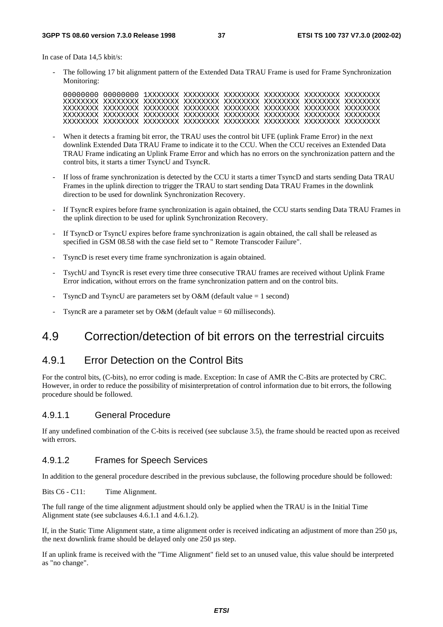In case of Data 14,5 kbit/s:

The following 17 bit alignment pattern of the Extended Data TRAU Frame is used for Frame Synchronization Monitoring:

- When it detects a framing bit error, the TRAU uses the control bit UFE (uplink Frame Error) in the next downlink Extended Data TRAU Frame to indicate it to the CCU. When the CCU receives an Extended Data TRAU Frame indicating an Uplink Frame Error and which has no errors on the synchronization pattern and the control bits, it starts a timer TsyncU and TsyncR.
- If loss of frame synchronization is detected by the CCU it starts a timer TsyncD and starts sending Data TRAU Frames in the uplink direction to trigger the TRAU to start sending Data TRAU Frames in the downlink direction to be used for downlink Synchronization Recovery.
- If TsyncR expires before frame synchronization is again obtained, the CCU starts sending Data TRAU Frames in the uplink direction to be used for uplink Synchronization Recovery.
- If TsyncD or TsyncU expires before frame synchronization is again obtained, the call shall be released as specified in GSM 08.58 with the case field set to " Remote Transcoder Failure".
- TsyncD is reset every time frame synchronization is again obtained.
- TsychU and TsyncR is reset every time three consecutive TRAU frames are received without Uplink Frame Error indication, without errors on the frame synchronization pattern and on the control bits.
- TsyncD and TsyncU are parameters set by O&M (default value  $= 1$  second)
- TsyncR are a parameter set by O&M (default value  $= 60$  milliseconds).

## 4.9 Correction/detection of bit errors on the terrestrial circuits

### 4.9.1 Error Detection on the Control Bits

For the control bits, (C-bits), no error coding is made. Exception: In case of AMR the C-Bits are protected by CRC. However, in order to reduce the possibility of misinterpretation of control information due to bit errors, the following procedure should be followed.

### 4.9.1.1 General Procedure

If any undefined combination of the C-bits is received (see subclause 3.5), the frame should be reacted upon as received with errors.

### 4.9.1.2 Frames for Speech Services

In addition to the general procedure described in the previous subclause, the following procedure should be followed:

Bits C6 - C11: Time Alignment.

The full range of the time alignment adjustment should only be applied when the TRAU is in the Initial Time Alignment state (see subclauses 4.6.1.1 and 4.6.1.2).

If, in the Static Time Alignment state, a time alignment order is received indicating an adjustment of more than 250 µs, the next downlink frame should be delayed only one 250 µs step.

If an uplink frame is received with the "Time Alignment" field set to an unused value, this value should be interpreted as "no change".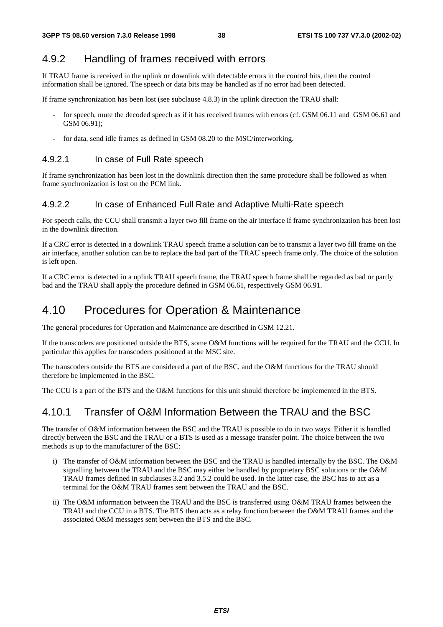## 4.9.2 Handling of frames received with errors

If TRAU frame is received in the uplink or downlink with detectable errors in the control bits, then the control information shall be ignored. The speech or data bits may be handled as if no error had been detected.

If frame synchronization has been lost (see subclause 4.8.3) in the uplink direction the TRAU shall:

- for speech, mute the decoded speech as if it has received frames with errors (cf. GSM 06.11 and GSM 06.61 and GSM 06.91);
- for data, send idle frames as defined in GSM 08.20 to the MSC/interworking.

### 4.9.2.1 In case of Full Rate speech

If frame synchronization has been lost in the downlink direction then the same procedure shall be followed as when frame synchronization is lost on the PCM link.

### 4.9.2.2 In case of Enhanced Full Rate and Adaptive Multi-Rate speech

For speech calls, the CCU shall transmit a layer two fill frame on the air interface if frame synchronization has been lost in the downlink direction.

If a CRC error is detected in a downlink TRAU speech frame a solution can be to transmit a layer two fill frame on the air interface, another solution can be to replace the bad part of the TRAU speech frame only. The choice of the solution is left open.

If a CRC error is detected in a uplink TRAU speech frame, the TRAU speech frame shall be regarded as bad or partly bad and the TRAU shall apply the procedure defined in GSM 06.61, respectively GSM 06.91.

# 4.10 Procedures for Operation & Maintenance

The general procedures for Operation and Maintenance are described in GSM 12.21.

If the transcoders are positioned outside the BTS, some O&M functions will be required for the TRAU and the CCU. In particular this applies for transcoders positioned at the MSC site.

The transcoders outside the BTS are considered a part of the BSC, and the O&M functions for the TRAU should therefore be implemented in the BSC.

The CCU is a part of the BTS and the O&M functions for this unit should therefore be implemented in the BTS.

## 4.10.1 Transfer of O&M Information Between the TRAU and the BSC

The transfer of O&M information between the BSC and the TRAU is possible to do in two ways. Either it is handled directly between the BSC and the TRAU or a BTS is used as a message transfer point. The choice between the two methods is up to the manufacturer of the BSC:

- i) The transfer of O&M information between the BSC and the TRAU is handled internally by the BSC. The O&M signalling between the TRAU and the BSC may either be handled by proprietary BSC solutions or the O&M TRAU frames defined in subclauses 3.2 and 3.5.2 could be used. In the latter case, the BSC has to act as a terminal for the O&M TRAU frames sent between the TRAU and the BSC.
- ii) The O&M information between the TRAU and the BSC is transferred using O&M TRAU frames between the TRAU and the CCU in a BTS. The BTS then acts as a relay function between the O&M TRAU frames and the associated O&M messages sent between the BTS and the BSC.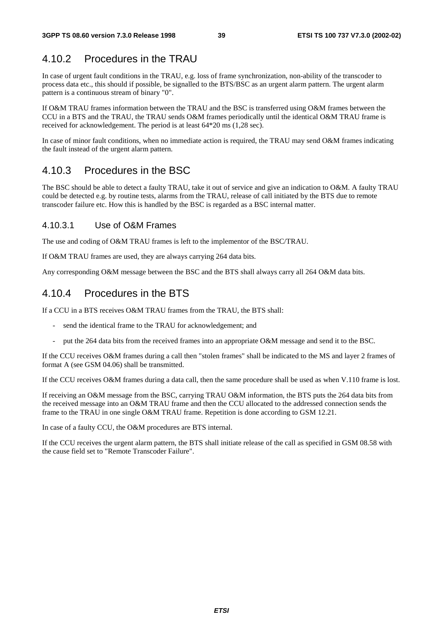### 4.10.2 Procedures in the TRAU

In case of urgent fault conditions in the TRAU, e.g. loss of frame synchronization, non-ability of the transcoder to process data etc., this should if possible, be signalled to the BTS/BSC as an urgent alarm pattern. The urgent alarm pattern is a continuous stream of binary "0".

If O&M TRAU frames information between the TRAU and the BSC is transferred using O&M frames between the CCU in a BTS and the TRAU, the TRAU sends O&M frames periodically until the identical O&M TRAU frame is received for acknowledgement. The period is at least 64\*20 ms (1,28 sec).

In case of minor fault conditions, when no immediate action is required, the TRAU may send O&M frames indicating the fault instead of the urgent alarm pattern.

### 4.10.3 Procedures in the BSC

The BSC should be able to detect a faulty TRAU, take it out of service and give an indication to O&M. A faulty TRAU could be detected e.g. by routine tests, alarms from the TRAU, release of call initiated by the BTS due to remote transcoder failure etc. How this is handled by the BSC is regarded as a BSC internal matter.

### 4.10.3.1 Use of O&M Frames

The use and coding of O&M TRAU frames is left to the implementor of the BSC/TRAU.

If O&M TRAU frames are used, they are always carrying 264 data bits.

Any corresponding O&M message between the BSC and the BTS shall always carry all 264 O&M data bits.

### 4.10.4 Procedures in the BTS

If a CCU in a BTS receives O&M TRAU frames from the TRAU, the BTS shall:

- send the identical frame to the TRAU for acknowledgement; and
- put the 264 data bits from the received frames into an appropriate O&M message and send it to the BSC.

If the CCU receives O&M frames during a call then "stolen frames" shall be indicated to the MS and layer 2 frames of format A (see GSM 04.06) shall be transmitted.

If the CCU receives O&M frames during a data call, then the same procedure shall be used as when V.110 frame is lost.

If receiving an O&M message from the BSC, carrying TRAU O&M information, the BTS puts the 264 data bits from the received message into an O&M TRAU frame and then the CCU allocated to the addressed connection sends the frame to the TRAU in one single O&M TRAU frame. Repetition is done according to GSM 12.21.

In case of a faulty CCU, the O&M procedures are BTS internal.

If the CCU receives the urgent alarm pattern, the BTS shall initiate release of the call as specified in GSM 08.58 with the cause field set to "Remote Transcoder Failure".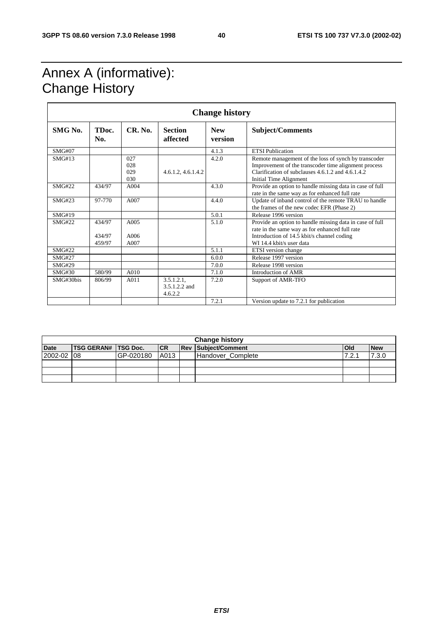# Annex A (informative): Change History

| <b>Change history</b> |                            |                          |                                           |                       |                                                                                                                                                                                                    |  |  |
|-----------------------|----------------------------|--------------------------|-------------------------------------------|-----------------------|----------------------------------------------------------------------------------------------------------------------------------------------------------------------------------------------------|--|--|
| SMG No.               | TD <sub>oc</sub> .<br>No.  | <b>CR. No.</b>           | <b>Section</b><br>affected                | <b>New</b><br>version | <b>Subject/Comments</b>                                                                                                                                                                            |  |  |
| <b>SMG#07</b>         |                            |                          |                                           | 4.1.3                 | <b>ETSI</b> Publication                                                                                                                                                                            |  |  |
| SMG#13                |                            | 027<br>028<br>029<br>030 | 4.6.1.2, 4.6.1.4.2                        | 4.2.0                 | Remote management of the loss of synch by transcoder<br>Improvement of the transcoder time alignment process<br>Clarification of subclauses 4.6.1.2 and 4.6.1.4.2<br><b>Initial Time Alignment</b> |  |  |
| SMG#22                | 434/97                     | A004                     |                                           | 4.3.0                 | Provide an option to handle missing data in case of full<br>rate in the same way as for enhanced full rate                                                                                         |  |  |
| <b>SMG#23</b>         | 97-770                     | A007                     |                                           | 4.4.0                 | Update of inband control of the remote TRAU to handle<br>the frames of the new codec EFR (Phase 2)                                                                                                 |  |  |
| SMG#19                |                            |                          |                                           | 5.0.1                 | Release 1996 version                                                                                                                                                                               |  |  |
| SMG#22                | 434/97<br>434/97<br>459/97 | A005<br>A006<br>A007     |                                           | 5.1.0                 | Provide an option to handle missing data in case of full<br>rate in the same way as for enhanced full rate<br>Introduction of 14.5 kbit/s channel coding<br>WI 14.4 kbit/s user data               |  |  |
| <b>SMG#22</b>         |                            |                          |                                           | 5.1.1                 | ETSI version change                                                                                                                                                                                |  |  |
| <b>SMG#27</b>         |                            |                          |                                           | 6.0.0                 | Release 1997 version                                                                                                                                                                               |  |  |
| <b>SMG#29</b>         |                            |                          |                                           | 7.0.0                 | Release 1998 version                                                                                                                                                                               |  |  |
| <b>SMG#30</b>         | 580/99                     | A010                     |                                           | 7.1.0                 | Introduction of AMR                                                                                                                                                                                |  |  |
| SMG#30bis             | 806/99                     | A011                     | $3.5.1.2.1$ ,<br>3.5.1.2.2 and<br>4.6.2.2 | 7.2.0                 | Support of AMR-TFO                                                                                                                                                                                 |  |  |
|                       |                            |                          |                                           | 7.2.1                 | Version update to 7.2.1 for publication                                                                                                                                                            |  |  |

| <b>Change history</b> |                            |           |            |  |                            |              |            |  |  |  |
|-----------------------|----------------------------|-----------|------------|--|----------------------------|--------------|------------|--|--|--|
| <b>Date</b>           | <b>TSG GERAN# TSG Doc.</b> |           | <b>ICR</b> |  | <b>Rev Subject/Comment</b> | <b>l</b> Old | <b>New</b> |  |  |  |
| 2002-02               | -08                        | GP-020180 | A013       |  | Handover Complete          | 7.2.1        | 7.3.0      |  |  |  |
|                       |                            |           |            |  |                            |              |            |  |  |  |
|                       |                            |           |            |  |                            |              |            |  |  |  |
|                       |                            |           |            |  |                            |              |            |  |  |  |